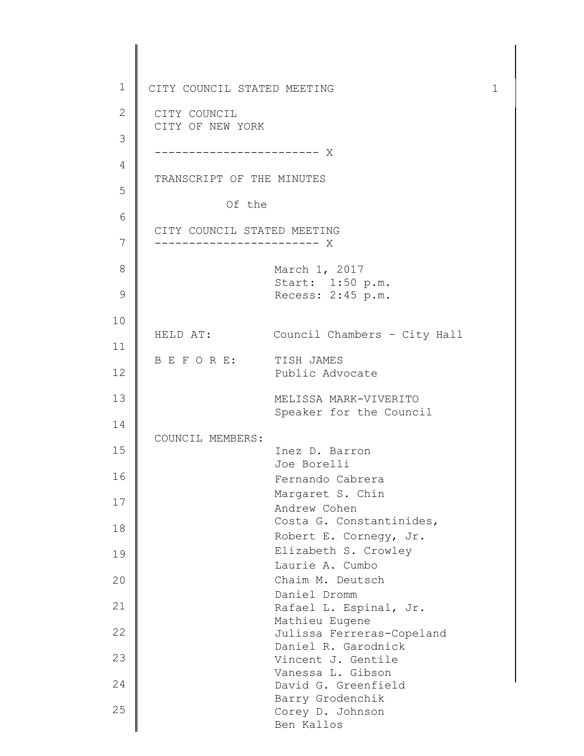1 2 3 4 5 6 7 8 9 10 11 12 13 14 15 16 17 18 19 20 21 22 23 24 25 CITY COUNCIL STATED MEETING 1 CITY COUNCIL CITY OF NEW YORK ------------------------ X TRANSCRIPT OF THE MINUTES Of the CITY COUNCIL STATED MEETING ------------------------ X March 1, 2017 Start: 1:50 p.m. Recess: 2:45 p.m. HELD AT: Council Chambers – City Hall B E F O R E: TISH JAMES Public Advocate MELISSA MARK-VIVERITO Speaker for the Council COUNCIL MEMBERS: Inez D. Barron Joe Borelli Fernando Cabrera Margaret S. Chin Andrew Cohen Costa G. Constantinides, Robert E. Cornegy, Jr. Elizabeth S. Crowley Laurie A. Cumbo Chaim M. Deutsch Daniel Dromm Rafael L. Espinal, Jr. Mathieu Eugene Julissa Ferreras-Copeland Daniel R. Garodnick Vincent J. Gentile Vanessa L. Gibson David G. Greenfield Barry Grodenchik Corey D. Johnson Ben Kallos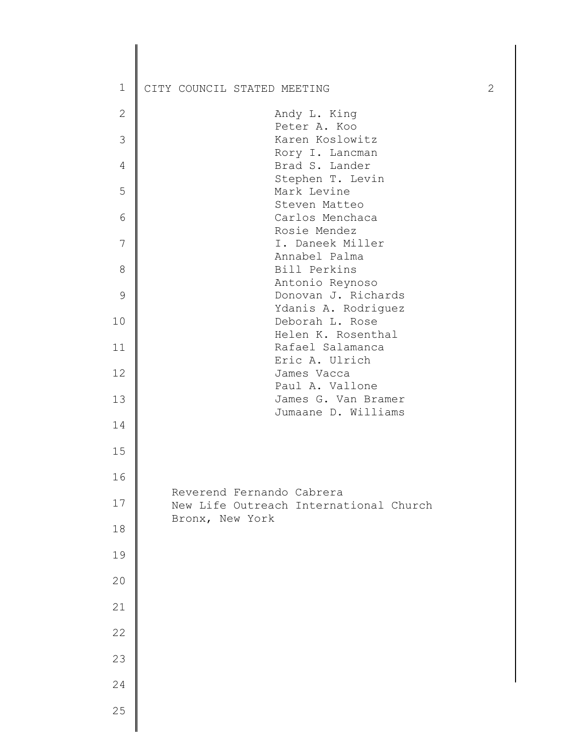| $\mathbf 1$   | CITY COUNCIL STATED MEETING                                         | $\mathbf{2}$ |
|---------------|---------------------------------------------------------------------|--------------|
| $\mathbf{2}$  | Andy L. King                                                        |              |
| 3             | Peter A. Koo<br>Karen Koslowitz                                     |              |
| 4             | Rory I. Lancman<br>Brad S. Lander                                   |              |
| 5             | Stephen T. Levin<br>Mark Levine                                     |              |
|               | Steven Matteo                                                       |              |
| $6\,$         | Carlos Menchaca<br>Rosie Mendez                                     |              |
| 7             | I. Daneek Miller                                                    |              |
| $8\,$         | Annabel Palma<br>Bill Perkins                                       |              |
|               | Antonio Reynoso                                                     |              |
| $\mathcal{G}$ | Donovan J. Richards<br>Ydanis A. Rodriguez                          |              |
| 10            | Deborah L. Rose                                                     |              |
| 11            | Helen K. Rosenthal<br>Rafael Salamanca                              |              |
| 12            | Eric A. Ulrich<br>James Vacca                                       |              |
|               | Paul A. Vallone                                                     |              |
| 13            | James G. Van Bramer<br>Jumaane D. Williams                          |              |
| 14            |                                                                     |              |
| 15            |                                                                     |              |
| 16            |                                                                     |              |
| $17$          | Reverend Fernando Cabrera<br>New Life Outreach International Church |              |
| 18            | Bronx, New York                                                     |              |
| 19            |                                                                     |              |
| 20            |                                                                     |              |
| 21            |                                                                     |              |
| 22            |                                                                     |              |
|               |                                                                     |              |
| 23            |                                                                     |              |
| 24            |                                                                     |              |
| 25            |                                                                     |              |
|               |                                                                     |              |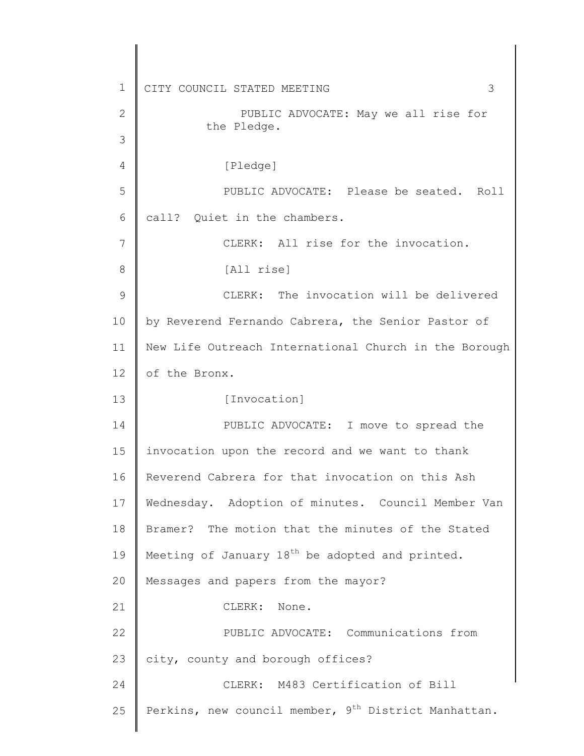1 2 3 4 5 6 7 8 9 10 11 12 13 14 15 16 17 18 19 20 21 22 23 24 25 CITY COUNCIL STATED MEETING 3 PUBLIC ADVOCATE: May we all rise for the Pledge. [Pledge] PUBLIC ADVOCATE: Please be seated. Roll call? Quiet in the chambers. CLERK: All rise for the invocation. [All rise] CLERK: The invocation will be delivered by Reverend Fernando Cabrera, the Senior Pastor of New Life Outreach International Church in the Borough of the Bronx. [Invocation] PUBLIC ADVOCATE: I move to spread the invocation upon the record and we want to thank Reverend Cabrera for that invocation on this Ash Wednesday. Adoption of minutes. Council Member Van Bramer? The motion that the minutes of the Stated Meeting of January 18<sup>th</sup> be adopted and printed. Messages and papers from the mayor? CLERK: None. PUBLIC ADVOCATE: Communications from city, county and borough offices? CLERK: M483 Certification of Bill Perkins, new council member,  $9<sup>th</sup>$  District Manhattan.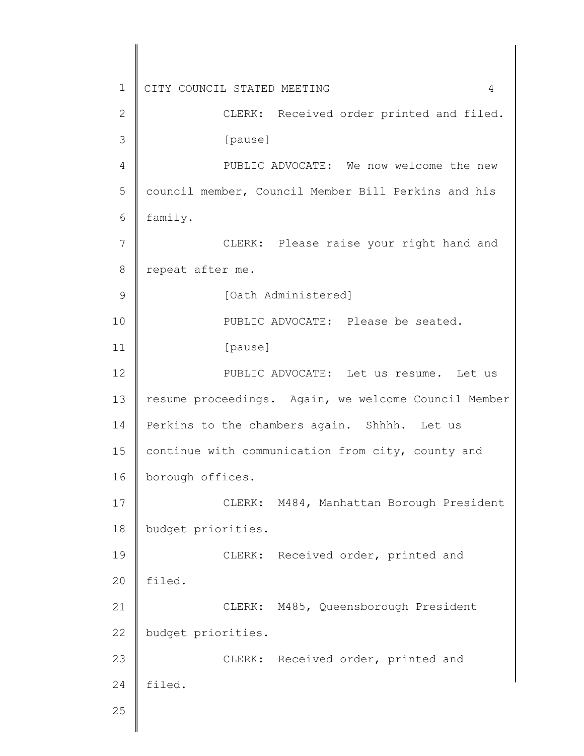1 2 3 4 5 6 7 8 9 10 11 12 13 14 15 16 17 18 19 20 21 22 23 24 25 CITY COUNCIL STATED MEETING 4 CLERK: Received order printed and filed. [pause] PUBLIC ADVOCATE: We now welcome the new council member, Council Member Bill Perkins and his family. CLERK: Please raise your right hand and repeat after me. [Oath Administered] PUBLIC ADVOCATE: Please be seated. [pause] PUBLIC ADVOCATE: Let us resume. Let us resume proceedings. Again, we welcome Council Member Perkins to the chambers again. Shhhh. Let us continue with communication from city, county and borough offices. CLERK: M484, Manhattan Borough President budget priorities. CLERK: Received order, printed and filed. CLERK: M485, Queensborough President budget priorities. CLERK: Received order, printed and filed.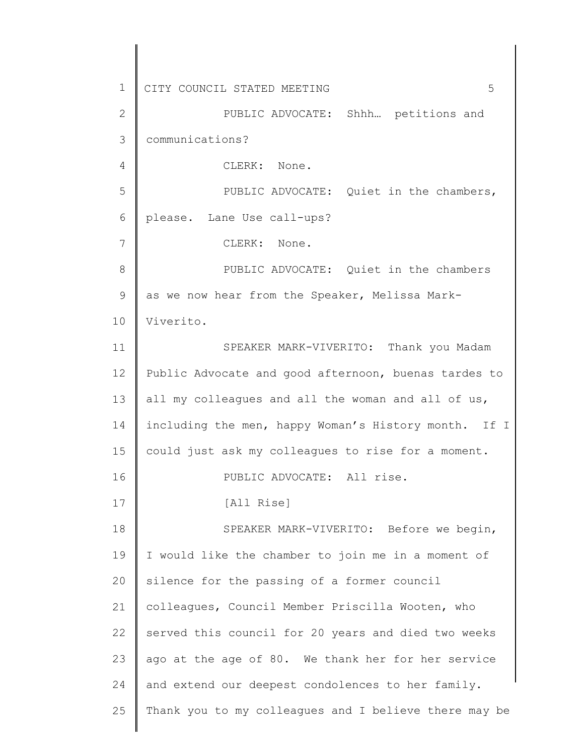1 2 3 4 5 6 7 8 9 10 11 12 13 14 15 16 17 18 19 20 21 22 23 24 25 CITY COUNCIL STATED MEETING 5 PUBLIC ADVOCATE: Shhh… petitions and communications? CLERK: None. PUBLIC ADVOCATE: Quiet in the chambers, please. Lane Use call-ups? CLERK: None. PUBLIC ADVOCATE: Quiet in the chambers as we now hear from the Speaker, Melissa Mark-Viverito. SPEAKER MARK-VIVERITO: Thank you Madam Public Advocate and good afternoon, buenas tardes to all my colleagues and all the woman and all of us, including the men, happy Woman's History month. If I could just ask my colleagues to rise for a moment. PUBLIC ADVOCATE: All rise. [All Rise] SPEAKER MARK-VIVERITO: Before we begin, I would like the chamber to join me in a moment of silence for the passing of a former council colleagues, Council Member Priscilla Wooten, who served this council for 20 years and died two weeks ago at the age of 80. We thank her for her service and extend our deepest condolences to her family. Thank you to my colleagues and I believe there may be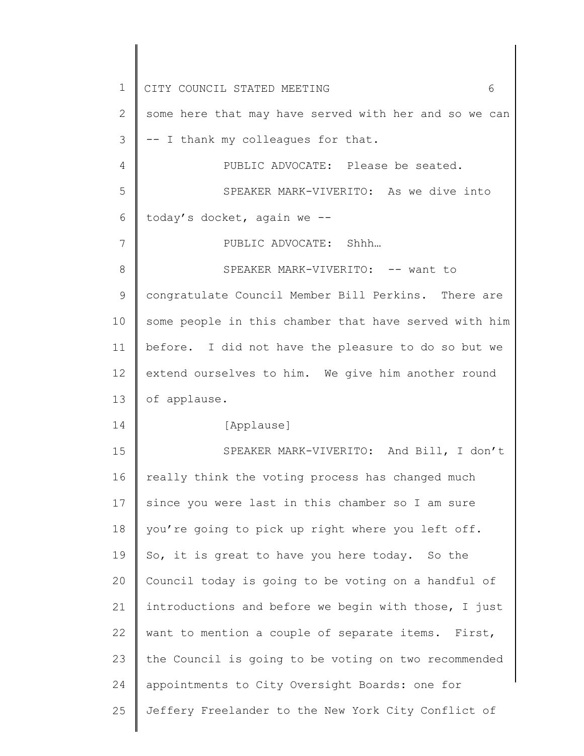1 2 3 4 5 6 7 8 9 10 11 12 13 14 15 16 17 18 19 20 21 22 23 24 25 CITY COUNCIL STATED MEETING 6 some here that may have served with her and so we can -- I thank my colleagues for that. PUBLIC ADVOCATE: Please be seated. SPEAKER MARK-VIVERITO: As we dive into today's docket, again we -- PUBLIC ADVOCATE: Shhh… SPEAKER MARK-VIVERITO: -- want to congratulate Council Member Bill Perkins. There are some people in this chamber that have served with him before. I did not have the pleasure to do so but we extend ourselves to him. We give him another round of applause. [Applause] SPEAKER MARK-VIVERITO: And Bill, I don't really think the voting process has changed much since you were last in this chamber so I am sure you're going to pick up right where you left off. So, it is great to have you here today. So the Council today is going to be voting on a handful of introductions and before we begin with those, I just want to mention a couple of separate items. First, the Council is going to be voting on two recommended appointments to City Oversight Boards: one for Jeffery Freelander to the New York City Conflict of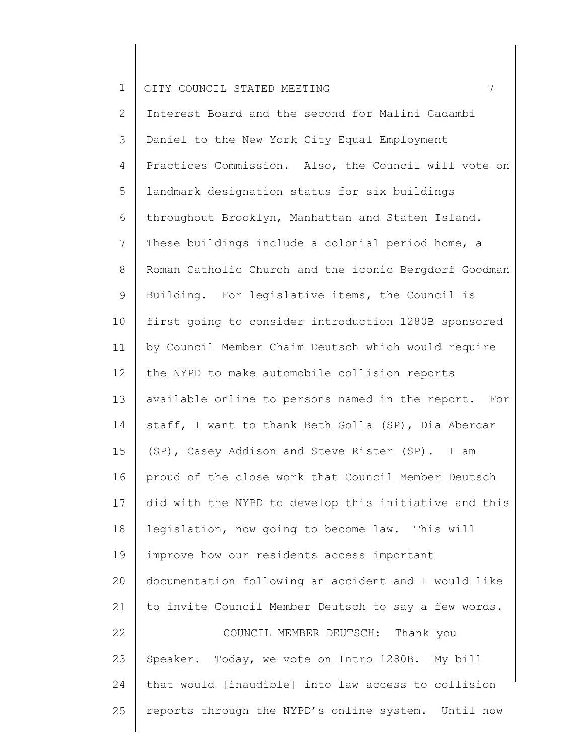2 3 4 5 6 7 8 9 10 11 12 13 14 15 16 17 18 19 20 21 22 23 24 25 Interest Board and the second for Malini Cadambi Daniel to the New York City Equal Employment Practices Commission. Also, the Council will vote on landmark designation status for six buildings throughout Brooklyn, Manhattan and Staten Island. These buildings include a colonial period home, a Roman Catholic Church and the iconic Bergdorf Goodman Building. For legislative items, the Council is first going to consider introduction 1280B sponsored by Council Member Chaim Deutsch which would require the NYPD to make automobile collision reports available online to persons named in the report. For staff, I want to thank Beth Golla (SP), Dia Abercar (SP), Casey Addison and Steve Rister (SP). I am proud of the close work that Council Member Deutsch did with the NYPD to develop this initiative and this legislation, now going to become law. This will improve how our residents access important documentation following an accident and I would like to invite Council Member Deutsch to say a few words. COUNCIL MEMBER DEUTSCH: Thank you Speaker. Today, we vote on Intro 1280B. My bill that would [inaudible] into law access to collision reports through the NYPD's online system. Until now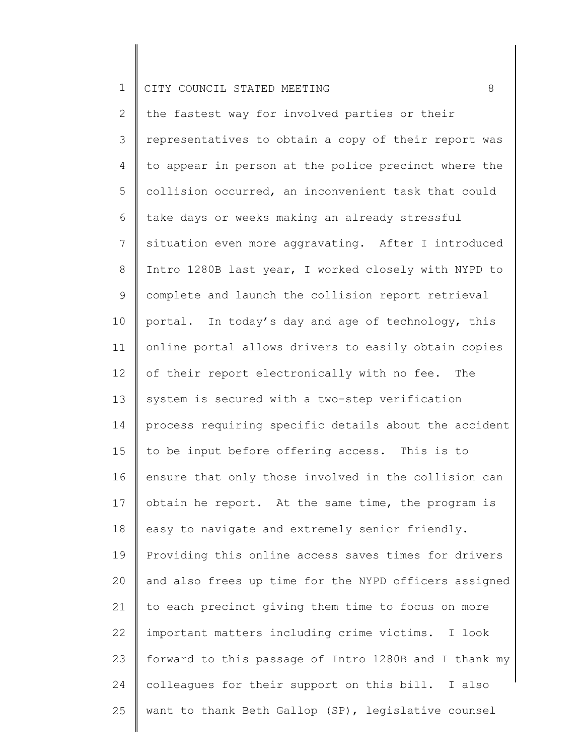2 3 4 5 6 7 8 9 10 11 12 13 14 15 16 17 18 19 20 21 22 23 24 25 the fastest way for involved parties or their representatives to obtain a copy of their report was to appear in person at the police precinct where the collision occurred, an inconvenient task that could take days or weeks making an already stressful situation even more aggravating. After I introduced Intro 1280B last year, I worked closely with NYPD to complete and launch the collision report retrieval portal. In today's day and age of technology, this online portal allows drivers to easily obtain copies of their report electronically with no fee. The system is secured with a two-step verification process requiring specific details about the accident to be input before offering access. This is to ensure that only those involved in the collision can obtain he report. At the same time, the program is easy to navigate and extremely senior friendly. Providing this online access saves times for drivers and also frees up time for the NYPD officers assigned to each precinct giving them time to focus on more important matters including crime victims. I look forward to this passage of Intro 1280B and I thank my colleagues for their support on this bill. I also want to thank Beth Gallop (SP), legislative counsel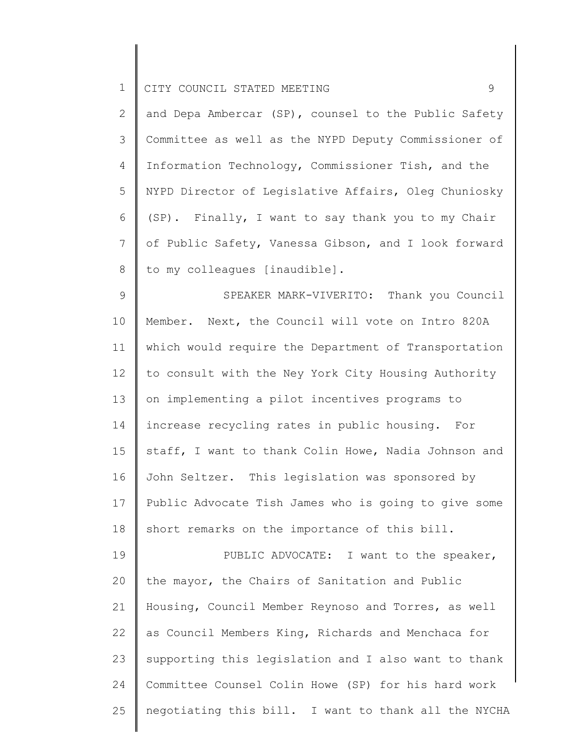2 3 4 5 6 7 8 and Depa Ambercar (SP), counsel to the Public Safety Committee as well as the NYPD Deputy Commissioner of Information Technology, Commissioner Tish, and the NYPD Director of Legislative Affairs, Oleg Chuniosky (SP). Finally, I want to say thank you to my Chair of Public Safety, Vanessa Gibson, and I look forward to my colleagues [inaudible].

9 10 11 12 13 14 15 16 17 18 SPEAKER MARK-VIVERITO: Thank you Council Member. Next, the Council will vote on Intro 820A which would require the Department of Transportation to consult with the Ney York City Housing Authority on implementing a pilot incentives programs to increase recycling rates in public housing. For staff, I want to thank Colin Howe, Nadia Johnson and John Seltzer. This legislation was sponsored by Public Advocate Tish James who is going to give some short remarks on the importance of this bill.

19 20 21 22 23 24 25 PUBLIC ADVOCATE: I want to the speaker, the mayor, the Chairs of Sanitation and Public Housing, Council Member Reynoso and Torres, as well as Council Members King, Richards and Menchaca for supporting this legislation and I also want to thank Committee Counsel Colin Howe (SP) for his hard work negotiating this bill. I want to thank all the NYCHA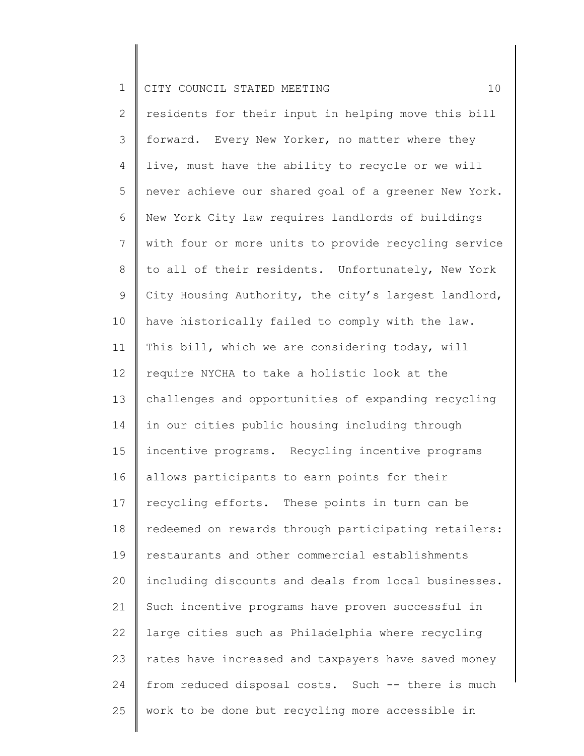2 3 4 5 6 7 8 9 10 11 12 13 14 15 16 17 18 19 20 21 22 23 24 25 residents for their input in helping move this bill forward. Every New Yorker, no matter where they live, must have the ability to recycle or we will never achieve our shared goal of a greener New York. New York City law requires landlords of buildings with four or more units to provide recycling service to all of their residents. Unfortunately, New York City Housing Authority, the city's largest landlord, have historically failed to comply with the law. This bill, which we are considering today, will require NYCHA to take a holistic look at the challenges and opportunities of expanding recycling in our cities public housing including through incentive programs. Recycling incentive programs allows participants to earn points for their recycling efforts. These points in turn can be redeemed on rewards through participating retailers: restaurants and other commercial establishments including discounts and deals from local businesses. Such incentive programs have proven successful in large cities such as Philadelphia where recycling rates have increased and taxpayers have saved money from reduced disposal costs. Such -- there is much work to be done but recycling more accessible in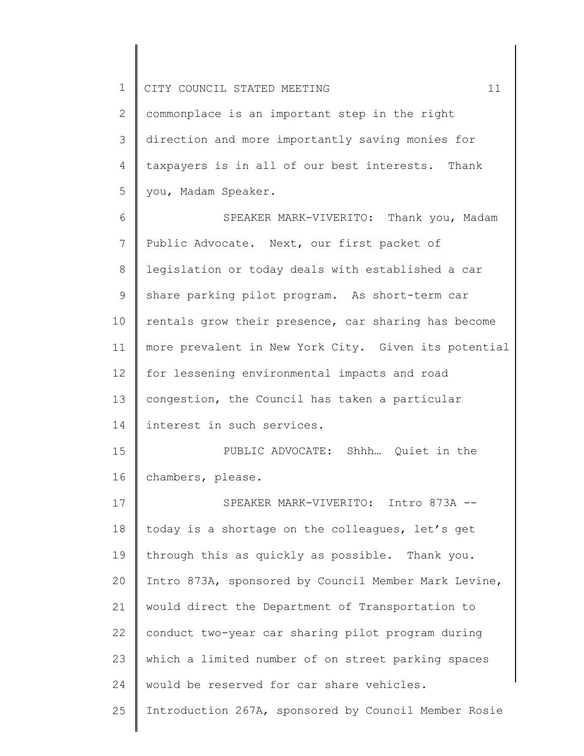25

2 3 4 5 commonplace is an important step in the right direction and more importantly saving monies for taxpayers is in all of our best interests. Thank you, Madam Speaker.

6 7 8 9 10 11 12 13 14 15 16 17 18 19 20 21 22 23 24 SPEAKER MARK-VIVERITO: Thank you, Madam Public Advocate. Next, our first packet of legislation or today deals with established a car share parking pilot program. As short-term car rentals grow their presence, car sharing has become more prevalent in New York City. Given its potential for lessening environmental impacts and road congestion, the Council has taken a particular interest in such services. PUBLIC ADVOCATE: Shhh… Quiet in the chambers, please. SPEAKER MARK-VIVERITO: Intro 873A - today is a shortage on the colleagues, let's get through this as quickly as possible. Thank you. Intro 873A, sponsored by Council Member Mark Levine, would direct the Department of Transportation to conduct two-year car sharing pilot program during which a limited number of on street parking spaces would be reserved for car share vehicles.

Introduction 267A, sponsored by Council Member Rosie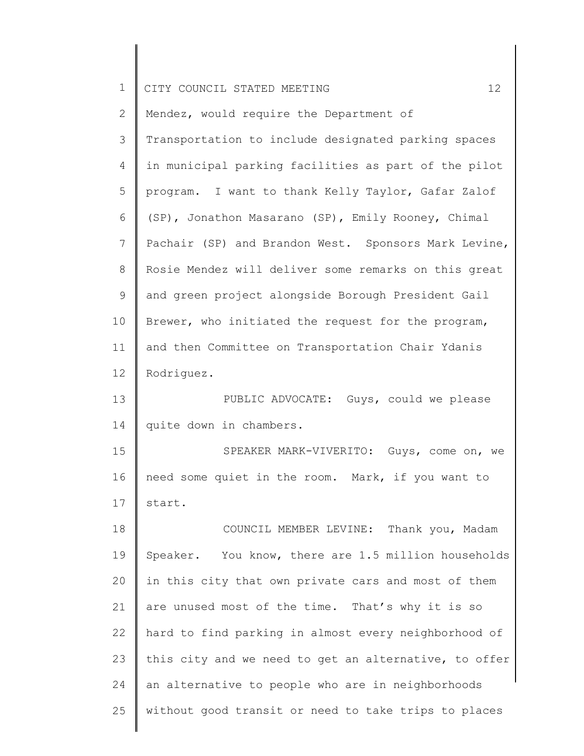| $\mathbf 1$     | 12<br>CITY COUNCIL STATED MEETING                     |
|-----------------|-------------------------------------------------------|
| 2               | Mendez, would require the Department of               |
| 3               | Transportation to include designated parking spaces   |
| 4               | in municipal parking facilities as part of the pilot  |
| 5               | program. I want to thank Kelly Taylor, Gafar Zalof    |
| 6               | (SP), Jonathon Masarano (SP), Emily Rooney, Chimal    |
| $7\phantom{.0}$ | Pachair (SP) and Brandon West. Sponsors Mark Levine,  |
| 8               | Rosie Mendez will deliver some remarks on this great  |
| 9               | and green project alongside Borough President Gail    |
| 10              | Brewer, who initiated the request for the program,    |
| 11              | and then Committee on Transportation Chair Ydanis     |
| 12              | Rodriguez.                                            |
| 13              | PUBLIC ADVOCATE: Guys, could we please                |
| 14              | quite down in chambers.                               |
| 15              | SPEAKER MARK-VIVERITO: Guys, come on, we              |
| 16              | need some quiet in the room. Mark, if you want to     |
| 17              | start.                                                |
| 18              | COUNCIL MEMBER LEVINE: Thank you, Madam               |
| 19              | Speaker. You know, there are 1.5 million households   |
| 20              | in this city that own private cars and most of them   |
| 21              | are unused most of the time. That's why it is so      |
| 22              | hard to find parking in almost every neighborhood of  |
| 23              | this city and we need to get an alternative, to offer |
| 24              | an alternative to people who are in neighborhoods     |
| 25              | without good transit or need to take trips to places  |
|                 |                                                       |

║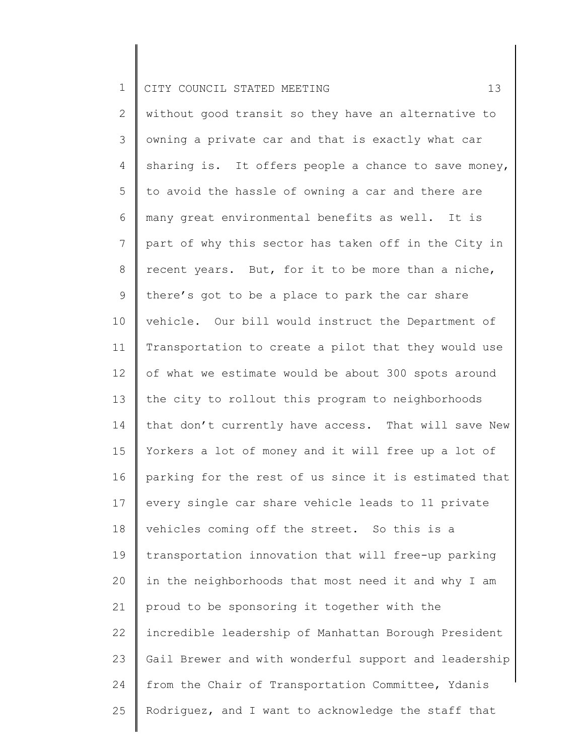2 3 4 5 6 7 8 9 10 11 12 13 14 15 16 17 18 19 20 21 22 23 24 25 without good transit so they have an alternative to owning a private car and that is exactly what car sharing is. It offers people a chance to save money, to avoid the hassle of owning a car and there are many great environmental benefits as well. It is part of why this sector has taken off in the City in recent years. But, for it to be more than a niche, there's got to be a place to park the car share vehicle. Our bill would instruct the Department of Transportation to create a pilot that they would use of what we estimate would be about 300 spots around the city to rollout this program to neighborhoods that don't currently have access. That will save New Yorkers a lot of money and it will free up a lot of parking for the rest of us since it is estimated that every single car share vehicle leads to 11 private vehicles coming off the street. So this is a transportation innovation that will free-up parking in the neighborhoods that most need it and why I am proud to be sponsoring it together with the incredible leadership of Manhattan Borough President Gail Brewer and with wonderful support and leadership from the Chair of Transportation Committee, Ydanis Rodriguez, and I want to acknowledge the staff that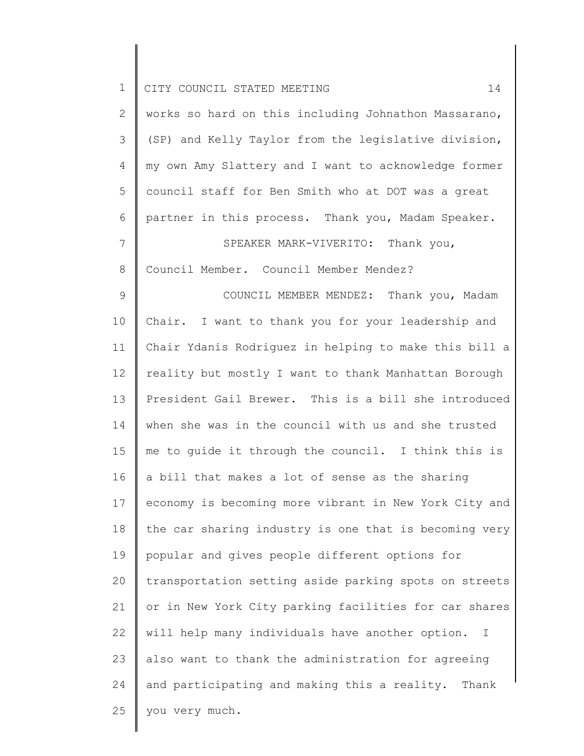| $\mathbf 1$     | CITY COUNCIL STATED MEETING<br>14                     |
|-----------------|-------------------------------------------------------|
| $\mathbf{2}$    | works so hard on this including Johnathon Massarano,  |
| $\mathfrak{Z}$  | (SP) and Kelly Taylor from the legislative division,  |
| $\overline{4}$  | my own Amy Slattery and I want to acknowledge former  |
| 5               | council staff for Ben Smith who at DOT was a great    |
| 6               | partner in this process. Thank you, Madam Speaker.    |
| $7\phantom{.0}$ | SPEAKER MARK-VIVERITO: Thank you,                     |
| $8\,$           | Council Member. Council Member Mendez?                |
| 9               | COUNCIL MEMBER MENDEZ: Thank you, Madam               |
| 10              | Chair. I want to thank you for your leadership and    |
| 11              | Chair Ydanis Rodriguez in helping to make this bill a |
| 12              | reality but mostly I want to thank Manhattan Borough  |
| 13              | President Gail Brewer. This is a bill she introduced  |
| 14              | when she was in the council with us and she trusted   |
| 15              | me to guide it through the council. I think this is   |
| 16              | a bill that makes a lot of sense as the sharing       |
| 17              | economy is becoming more vibrant in New York City and |
| 18              | the car sharing industry is one that is becoming very |
| 19              | popular and gives people different options for        |
| 20              | transportation setting aside parking spots on streets |
| 21              | or in New York City parking facilities for car shares |
| 22              | will help many individuals have another option.<br>Ι  |
| 23              | also want to thank the administration for agreeing    |
| 24              | and participating and making this a reality. Thank    |
| 25              | you very much.                                        |
|                 |                                                       |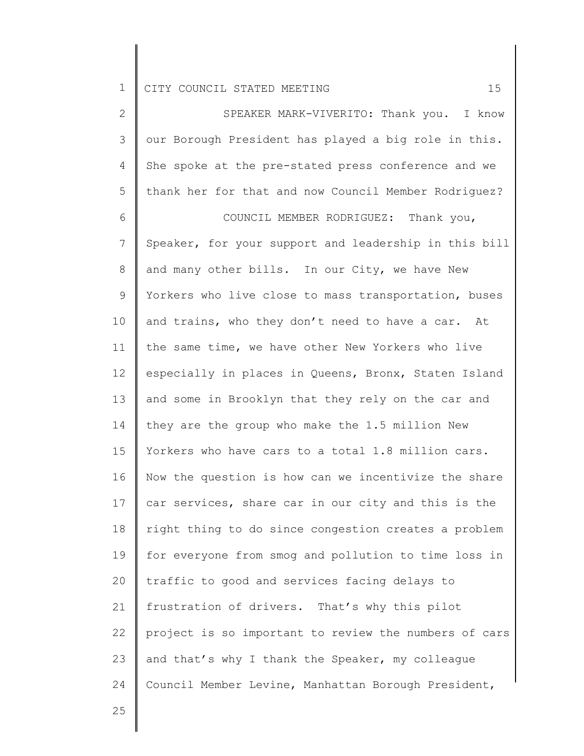2 3 4 5 SPEAKER MARK-VIVERITO: Thank you. I know our Borough President has played a big role in this. She spoke at the pre-stated press conference and we thank her for that and now Council Member Rodriguez?

6 7 8 9 10 11 12 13 14 15 16 17 18 19 20 21 22 23 24 COUNCIL MEMBER RODRIGUEZ: Thank you, Speaker, for your support and leadership in this bill and many other bills. In our City, we have New Yorkers who live close to mass transportation, buses and trains, who they don't need to have a car. At the same time, we have other New Yorkers who live especially in places in Queens, Bronx, Staten Island and some in Brooklyn that they rely on the car and they are the group who make the 1.5 million New Yorkers who have cars to a total 1.8 million cars. Now the question is how can we incentivize the share car services, share car in our city and this is the right thing to do since congestion creates a problem for everyone from smog and pollution to time loss in traffic to good and services facing delays to frustration of drivers. That's why this pilot project is so important to review the numbers of cars and that's why I thank the Speaker, my colleague Council Member Levine, Manhattan Borough President,

25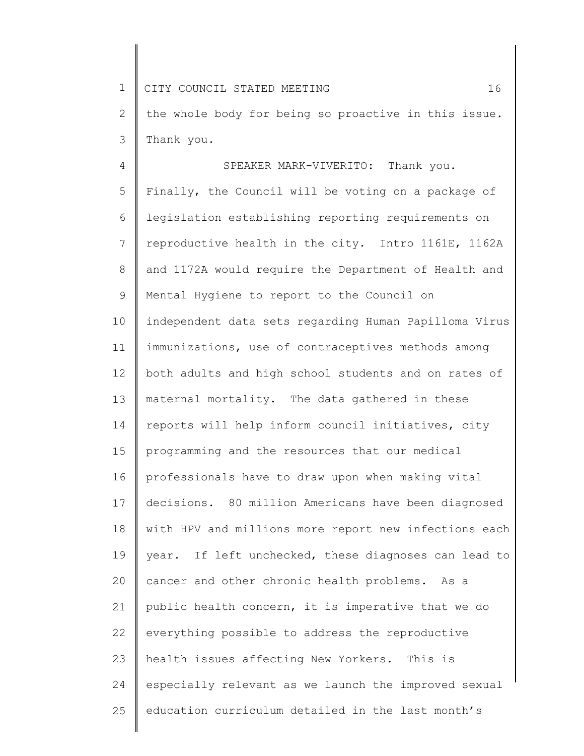1 2 3 CITY COUNCIL STATED MEETING 16 the whole body for being so proactive in this issue. Thank you.

4 5 6 7 8 9 10 11 12 13 14 15 16 17 18 19 20 21 22 23 24 25 SPEAKER MARK-VIVERITO: Thank you. Finally, the Council will be voting on a package of legislation establishing reporting requirements on reproductive health in the city. Intro 1161E, 1162A and 1172A would require the Department of Health and Mental Hygiene to report to the Council on independent data sets regarding Human Papilloma Virus immunizations, use of contraceptives methods among both adults and high school students and on rates of maternal mortality. The data gathered in these reports will help inform council initiatives, city programming and the resources that our medical professionals have to draw upon when making vital decisions. 80 million Americans have been diagnosed with HPV and millions more report new infections each year. If left unchecked, these diagnoses can lead to cancer and other chronic health problems. As a public health concern, it is imperative that we do everything possible to address the reproductive health issues affecting New Yorkers. This is especially relevant as we launch the improved sexual education curriculum detailed in the last month's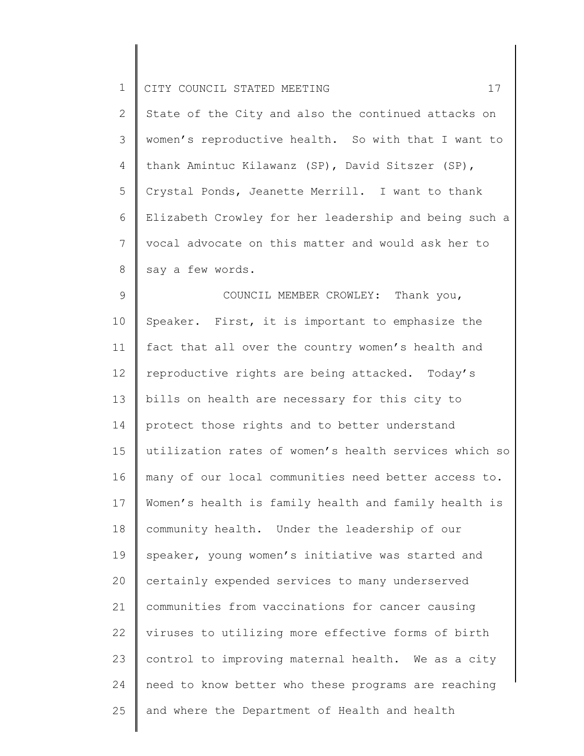| $\mathbf 1$    | 17<br>CITY COUNCIL STATED MEETING                     |
|----------------|-------------------------------------------------------|
| 2              | State of the City and also the continued attacks on   |
| 3              | women's reproductive health. So with that I want to   |
| $\overline{4}$ | thank Amintuc Kilawanz (SP), David Sitszer (SP),      |
| 5              | Crystal Ponds, Jeanette Merrill. I want to thank      |
| 6              | Elizabeth Crowley for her leadership and being such a |
| 7              | vocal advocate on this matter and would ask her to    |
| 8              | say a few words.                                      |
| $\mathcal{G}$  | COUNCIL MEMBER CROWLEY: Thank you,                    |
| 10             | Speaker. First, it is important to emphasize the      |
| 11             | fact that all over the country women's health and     |
| 12             | reproductive rights are being attacked. Today's       |
| 13             | bills on health are necessary for this city to        |
| 14             | protect those rights and to better understand         |
| 15             | utilization rates of women's health services which so |
| 16             | many of our local communities need better access to.  |
| 17             | Women's health is family health and family health is  |
| 18             | community health. Under the leadership of our         |
| 19             | speaker, young women's initiative was started and     |
| 20             | certainly expended services to many underserved       |
| 21             | communities from vaccinations for cancer causing      |
| 22             | viruses to utilizing more effective forms of birth    |
| 23             | control to improving maternal health. We as a city    |
| 24             | need to know better who these programs are reaching   |
| 25             | and where the Department of Health and health         |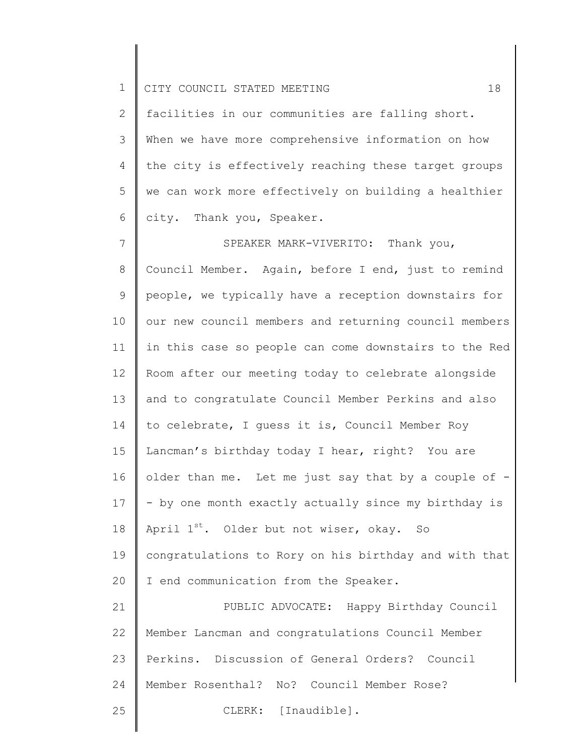2 3 4 5 6 facilities in our communities are falling short. When we have more comprehensive information on how the city is effectively reaching these target groups we can work more effectively on building a healthier city. Thank you, Speaker.

7 8 9 10 11 12 13 14 15 16 17 18 19 20 21 22 23 24 25 SPEAKER MARK-VIVERITO: Thank you, Council Member. Again, before I end, just to remind people, we typically have a reception downstairs for our new council members and returning council members in this case so people can come downstairs to the Red Room after our meeting today to celebrate alongside and to congratulate Council Member Perkins and also to celebrate, I guess it is, Council Member Roy Lancman's birthday today I hear, right? You are older than me. Let me just say that by a couple of -- by one month exactly actually since my birthday is April  $1^{st}$ . Older but not wiser, okay. So congratulations to Rory on his birthday and with that I end communication from the Speaker. PUBLIC ADVOCATE: Happy Birthday Council Member Lancman and congratulations Council Member Perkins. Discussion of General Orders? Council Member Rosenthal? No? Council Member Rose? CLERK: [Inaudible].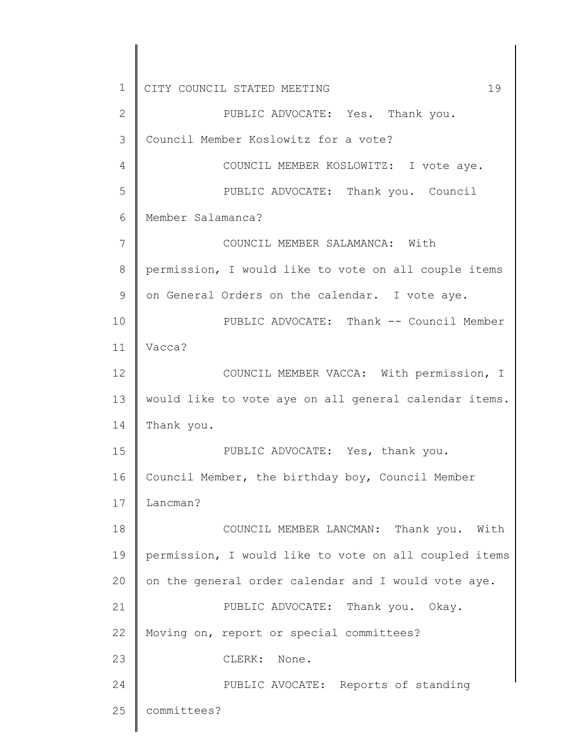1 2 3 4 5 6 7 8 9 10 11 12 13 14 15 16 17 18 19 20 21 22 23 24 25 CITY COUNCIL STATED MEETING 19 PUBLIC ADVOCATE: Yes. Thank you. Council Member Koslowitz for a vote? COUNCIL MEMBER KOSLOWITZ: I vote aye. PUBLIC ADVOCATE: Thank you. Council Member Salamanca? COUNCIL MEMBER SALAMANCA: With permission, I would like to vote on all couple items on General Orders on the calendar. I vote aye. PUBLIC ADVOCATE: Thank -- Council Member Vacca? COUNCIL MEMBER VACCA: With permission, I would like to vote aye on all general calendar items. Thank you. PUBLIC ADVOCATE: Yes, thank you. Council Member, the birthday boy, Council Member Lancman? COUNCIL MEMBER LANCMAN: Thank you. With permission, I would like to vote on all coupled items on the general order calendar and I would vote aye. PUBLIC ADVOCATE: Thank you. Okay. Moving on, report or special committees? CLERK: None. PUBLIC AVOCATE: Reports of standing committees?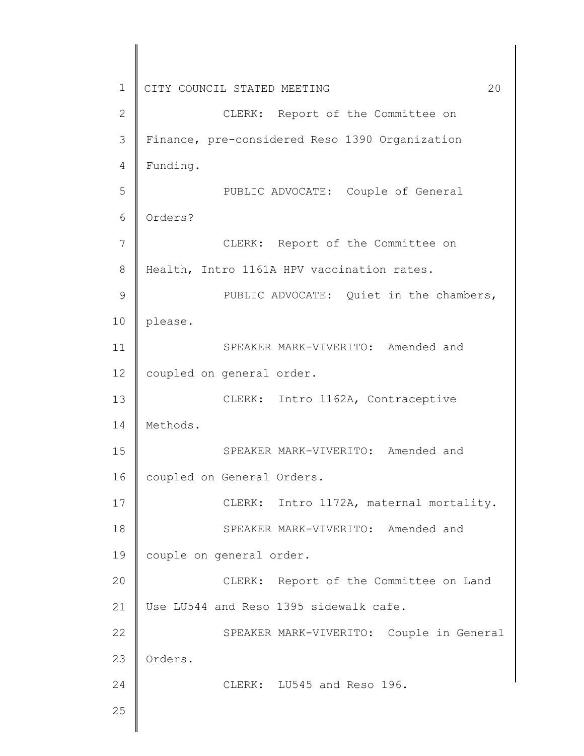1 2 3 4 5 6 7 8 9 10 11 12 13 14 15 16 17 18 19 20 21 22 23 24 25 CITY COUNCIL STATED MEETING 20 CLERK: Report of the Committee on Finance, pre-considered Reso 1390 Organization Funding. PUBLIC ADVOCATE: Couple of General Orders? CLERK: Report of the Committee on Health, Intro 1161A HPV vaccination rates. PUBLIC ADVOCATE: Quiet in the chambers, please. SPEAKER MARK-VIVERITO: Amended and coupled on general order. CLERK: Intro 1162A, Contraceptive Methods. SPEAKER MARK-VIVERITO: Amended and coupled on General Orders. CLERK: Intro 1172A, maternal mortality. SPEAKER MARK-VIVERITO: Amended and couple on general order. CLERK: Report of the Committee on Land Use LU544 and Reso 1395 sidewalk cafe. SPEAKER MARK-VIVERITO: Couple in General Orders. CLERK: LU545 and Reso 196.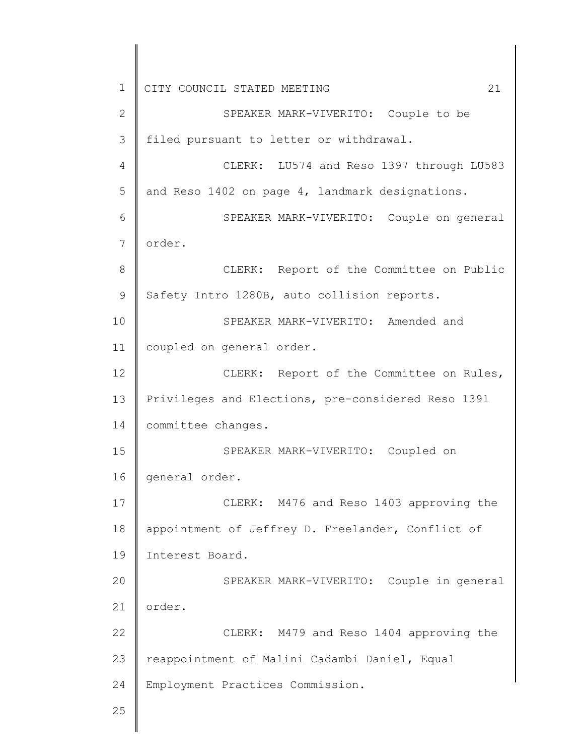1 2 3 4 5 6 7 8 9 10 11 12 13 14 15 16 17 18 19 20 21 22 23 24 25 CITY COUNCIL STATED MEETING 21 SPEAKER MARK-VIVERITO: Couple to be filed pursuant to letter or withdrawal. CLERK: LU574 and Reso 1397 through LU583 and Reso 1402 on page 4, landmark designations. SPEAKER MARK-VIVERITO: Couple on general order. CLERK: Report of the Committee on Public Safety Intro 1280B, auto collision reports. SPEAKER MARK-VIVERITO: Amended and coupled on general order. CLERK: Report of the Committee on Rules, Privileges and Elections, pre-considered Reso 1391 committee changes. SPEAKER MARK-VIVERITO: Coupled on general order. CLERK: M476 and Reso 1403 approving the appointment of Jeffrey D. Freelander, Conflict of Interest Board. SPEAKER MARK-VIVERITO: Couple in general order. CLERK: M479 and Reso 1404 approving the reappointment of Malini Cadambi Daniel, Equal Employment Practices Commission.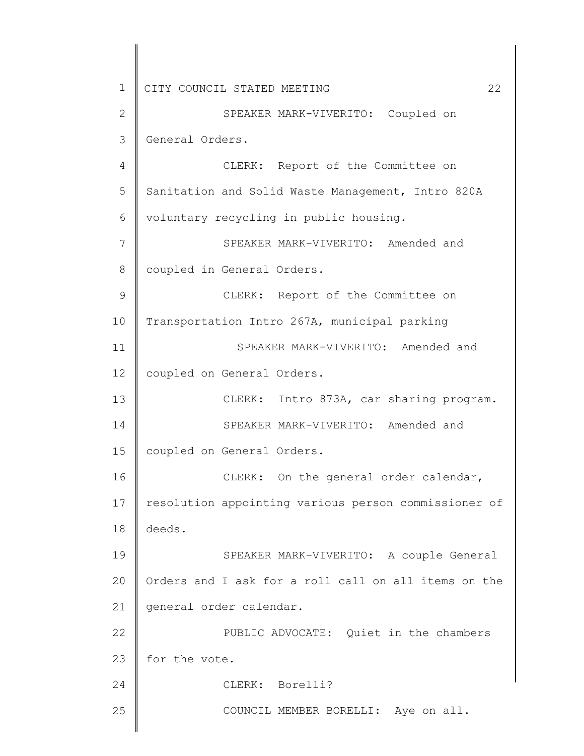1 2 3 4 5 6 7 8 9 10 11 12 13 14 15 16 17 18 19 20 21 22 23 24 25 CITY COUNCIL STATED MEETING 22 SPEAKER MARK-VIVERITO: Coupled on General Orders. CLERK: Report of the Committee on Sanitation and Solid Waste Management, Intro 820A voluntary recycling in public housing. SPEAKER MARK-VIVERITO: Amended and coupled in General Orders. CLERK: Report of the Committee on Transportation Intro 267A, municipal parking SPEAKER MARK-VIVERITO: Amended and coupled on General Orders. CLERK: Intro 873A, car sharing program. SPEAKER MARK-VIVERITO: Amended and coupled on General Orders. CLERK: On the general order calendar, resolution appointing various person commissioner of deeds. SPEAKER MARK-VIVERITO: A couple General Orders and I ask for a roll call on all items on the general order calendar. PUBLIC ADVOCATE: Quiet in the chambers for the vote. CLERK: Borelli? COUNCIL MEMBER BORELLI: Aye on all.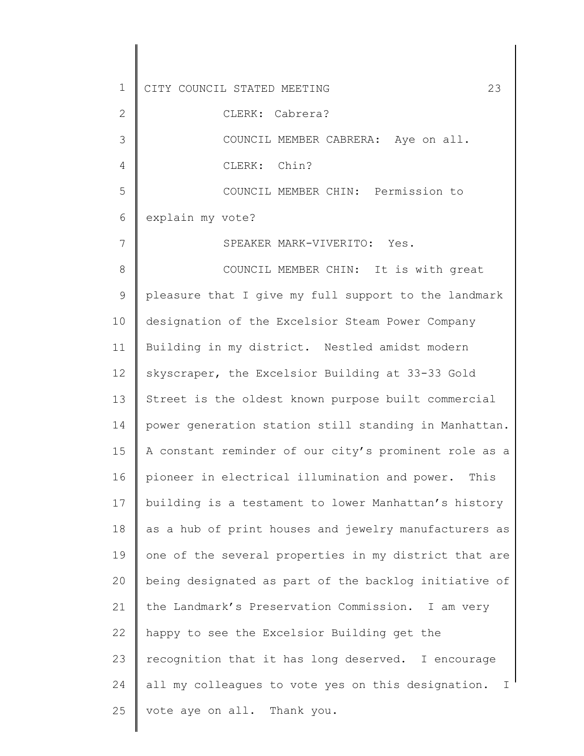1 2 3 4 5 6 7 8 9 10 11 12 13 14 15 16 17 18 19 20 21 22 23 24 25 CITY COUNCIL STATED MEETING 23 CLERK: Cabrera? COUNCIL MEMBER CABRERA: Aye on all. CLERK: Chin? COUNCIL MEMBER CHIN: Permission to explain my vote? SPEAKER MARK-VIVERITO: Yes. COUNCIL MEMBER CHIN: It is with great pleasure that I give my full support to the landmark designation of the Excelsior Steam Power Company Building in my district. Nestled amidst modern skyscraper, the Excelsior Building at 33-33 Gold Street is the oldest known purpose built commercial power generation station still standing in Manhattan. A constant reminder of our city's prominent role as a pioneer in electrical illumination and power. This building is a testament to lower Manhattan's history as a hub of print houses and jewelry manufacturers as one of the several properties in my district that are being designated as part of the backlog initiative of the Landmark's Preservation Commission. I am very happy to see the Excelsior Building get the recognition that it has long deserved. I encourage all my colleagues to vote yes on this designation. I vote aye on all. Thank you.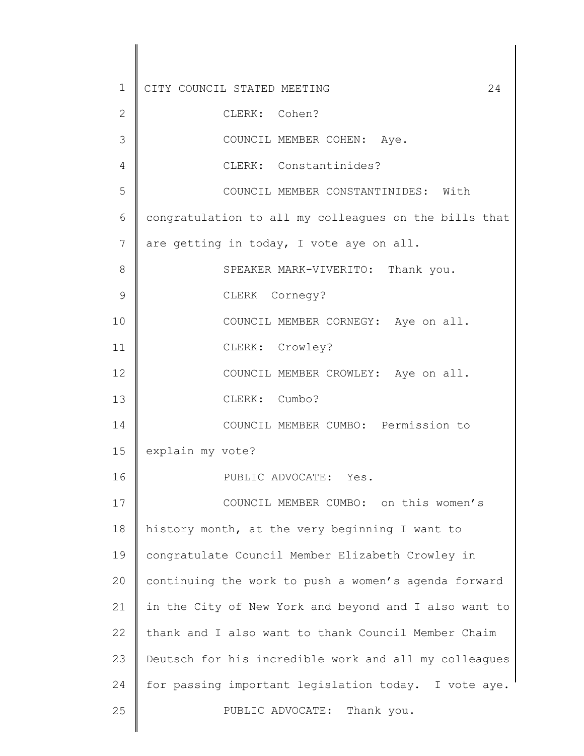1 2 3 4 5 6 7 8 9 10 11 12 13 14 15 16 17 18 19 20 21 22 23 24 25 CITY COUNCIL STATED MEETING 24 CLERK: Cohen? COUNCIL MEMBER COHEN: Aye. CLERK: Constantinides? COUNCIL MEMBER CONSTANTINIDES: With congratulation to all my colleagues on the bills that are getting in today, I vote aye on all. SPEAKER MARK-VIVERITO: Thank you. CLERK Cornegy? COUNCIL MEMBER CORNEGY: Aye on all. CLERK: Crowley? COUNCIL MEMBER CROWLEY: Aye on all. CLERK: Cumbo? COUNCIL MEMBER CUMBO: Permission to explain my vote? PUBLIC ADVOCATE: Yes. COUNCIL MEMBER CUMBO: on this women's history month, at the very beginning I want to congratulate Council Member Elizabeth Crowley in continuing the work to push a women's agenda forward in the City of New York and beyond and I also want to thank and I also want to thank Council Member Chaim Deutsch for his incredible work and all my colleagues for passing important legislation today. I vote aye. PUBLIC ADVOCATE: Thank you.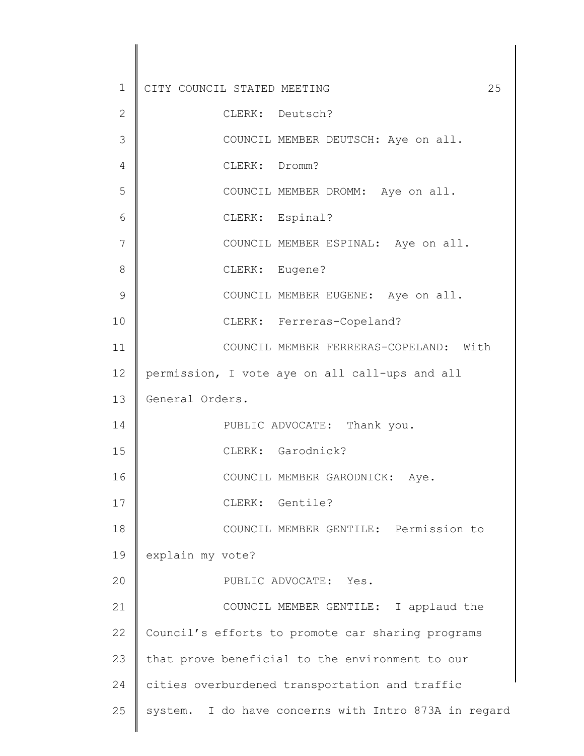| $\mathbf 1$  | 25<br>CITY COUNCIL STATED MEETING                    |
|--------------|------------------------------------------------------|
| $\mathbf{2}$ | CLERK: Deutsch?                                      |
| 3            | COUNCIL MEMBER DEUTSCH: Aye on all.                  |
| 4            | CLERK: Dromm?                                        |
| 5            | COUNCIL MEMBER DROMM: Aye on all.                    |
| 6            | CLERK: Espinal?                                      |
| 7            | COUNCIL MEMBER ESPINAL: Aye on all.                  |
| 8            | CLERK: Eugene?                                       |
| 9            | COUNCIL MEMBER EUGENE: Aye on all.                   |
| 10           | CLERK: Ferreras-Copeland?                            |
| 11           | COUNCIL MEMBER FERRERAS-COPELAND: With               |
| 12           | permission, I vote aye on all call-ups and all       |
| 13           | General Orders.                                      |
| 14           | PUBLIC ADVOCATE: Thank you.                          |
| 15           | CLERK: Garodnick?                                    |
| 16           | COUNCIL MEMBER GARODNICK: Aye.                       |
| 17           | CLERK: Gentile?                                      |
| 18           | COUNCIL MEMBER GENTILE: Permission to                |
| 19           | explain my vote?                                     |
| 20           | PUBLIC ADVOCATE: Yes.                                |
| 21           | COUNCIL MEMBER GENTILE: I applaud the                |
| 22           | Council's efforts to promote car sharing programs    |
| 23           | that prove beneficial to the environment to our      |
| 24           | cities overburdened transportation and traffic       |
| 25           | system. I do have concerns with Intro 873A in regard |
|              |                                                      |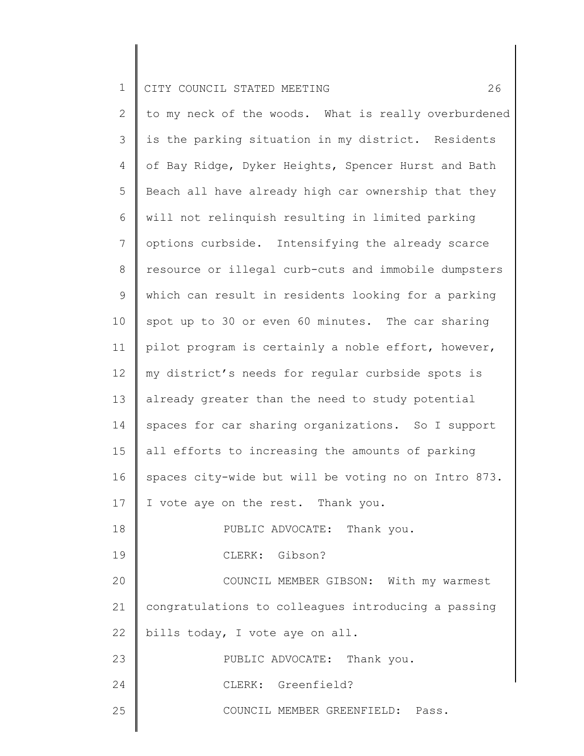2 3 4 5 6 7 8 9 10 11 12 13 14 15 16 17 18 19 20 21 22 23 24 25 to my neck of the woods. What is really overburdened is the parking situation in my district. Residents of Bay Ridge, Dyker Heights, Spencer Hurst and Bath Beach all have already high car ownership that they will not relinquish resulting in limited parking options curbside. Intensifying the already scarce resource or illegal curb-cuts and immobile dumpsters which can result in residents looking for a parking spot up to 30 or even 60 minutes. The car sharing pilot program is certainly a noble effort, however, my district's needs for regular curbside spots is already greater than the need to study potential spaces for car sharing organizations. So I support all efforts to increasing the amounts of parking spaces city-wide but will be voting no on Intro 873. I vote aye on the rest. Thank you. PUBLIC ADVOCATE: Thank you. CLERK: Gibson? COUNCIL MEMBER GIBSON: With my warmest congratulations to colleagues introducing a passing bills today, I vote aye on all. PUBLIC ADVOCATE: Thank you. CLERK: Greenfield? COUNCIL MEMBER GREENFIELD: Pass.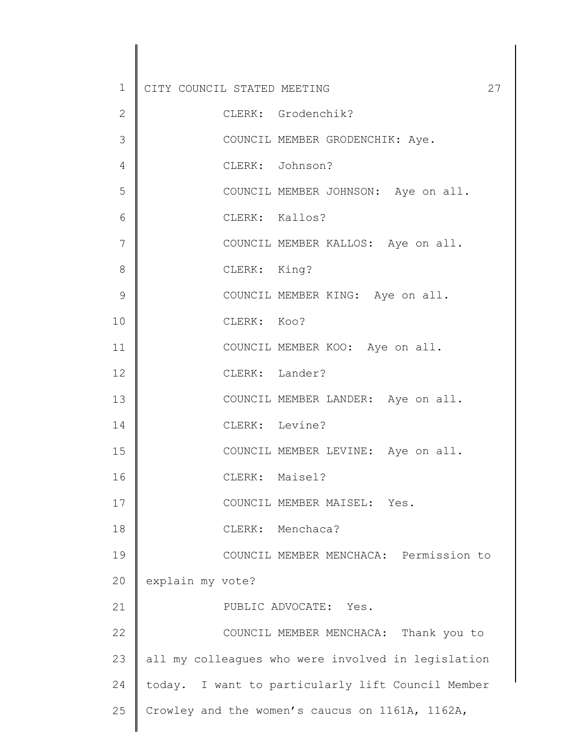| $1\,$       | CITY COUNCIL STATED MEETING<br>27                  |
|-------------|----------------------------------------------------|
| 2           | CLERK: Grodenchik?                                 |
| 3           | COUNCIL MEMBER GRODENCHIK: Aye.                    |
| 4           | CLERK: Johnson?                                    |
| 5           | COUNCIL MEMBER JOHNSON: Aye on all.                |
| 6           | CLERK: Kallos?                                     |
| 7           | COUNCIL MEMBER KALLOS: Aye on all.                 |
| 8           | CLERK: King?                                       |
| $\mathsf 9$ | COUNCIL MEMBER KING: Aye on all.                   |
| 10          | CLERK: Koo?                                        |
| 11          | COUNCIL MEMBER KOO: Aye on all.                    |
| 12          | CLERK: Lander?                                     |
| 13          | COUNCIL MEMBER LANDER: Aye on all.                 |
| 14          | CLERK: Levine?                                     |
| 15          | COUNCIL MEMBER LEVINE: Aye on all.                 |
| 16          | CLERK: Maisel?                                     |
| 17          | COUNCIL MEMBER MAISEL: Yes.                        |
| 18          | CLERK: Menchaca?                                   |
| 19          | COUNCIL MEMBER MENCHACA: Permission to             |
| 20          | explain my vote?                                   |
| 21          | PUBLIC ADVOCATE: Yes.                              |
| 22          | COUNCIL MEMBER MENCHACA: Thank you to              |
| 23          | all my colleagues who were involved in legislation |
| 24          | today. I want to particularly lift Council Member  |
| 25          | Crowley and the women's caucus on 1161A, 1162A,    |
|             |                                                    |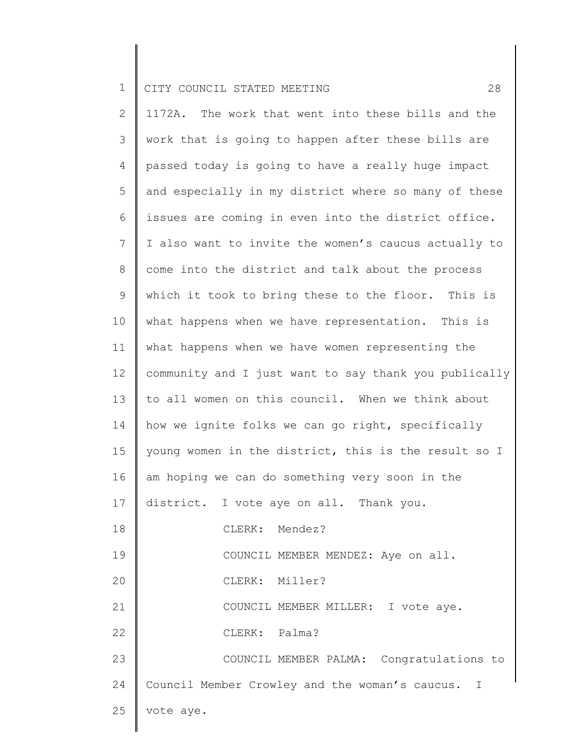2 3 4 5 6 7 8 9 10 11 12 13 14 15 16 17 18 19 20 21 22 23 24 25 1172A. The work that went into these bills and the work that is going to happen after these bills are passed today is going to have a really huge impact and especially in my district where so many of these issues are coming in even into the district office. I also want to invite the women's caucus actually to come into the district and talk about the process which it took to bring these to the floor. This is what happens when we have representation. This is what happens when we have women representing the community and I just want to say thank you publically to all women on this council. When we think about how we ignite folks we can go right, specifically young women in the district, this is the result so I am hoping we can do something very soon in the district. I vote aye on all. Thank you. CLERK: Mendez? COUNCIL MEMBER MENDEZ: Aye on all. CLERK: Miller? COUNCIL MEMBER MILLER: I vote aye. CLERK: Palma? COUNCIL MEMBER PALMA: Congratulations to Council Member Crowley and the woman's caucus. I vote aye.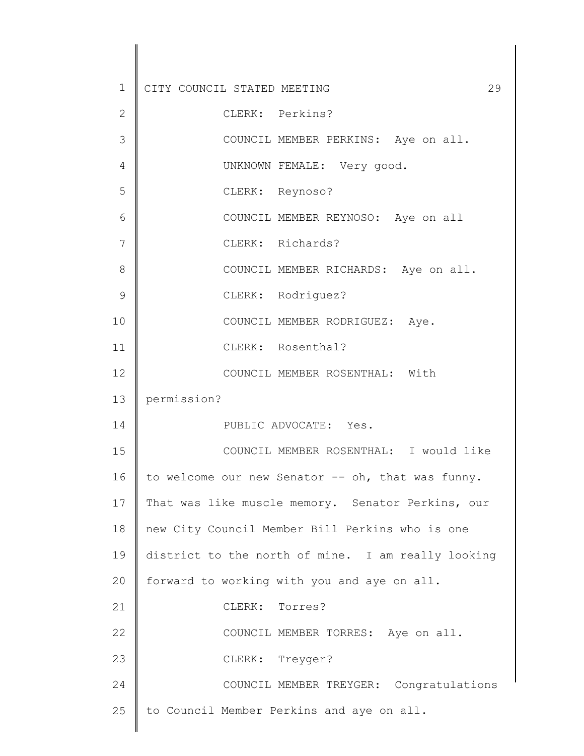| $\mathbf 1$   | 29<br>CITY COUNCIL STATED MEETING                  |
|---------------|----------------------------------------------------|
| $\mathbf{2}$  | CLERK: Perkins?                                    |
| 3             | COUNCIL MEMBER PERKINS: Aye on all.                |
| 4             | UNKNOWN FEMALE: Very good.                         |
| 5             | CLERK: Reynoso?                                    |
| 6             | COUNCIL MEMBER REYNOSO: Aye on all                 |
| 7             | CLERK: Richards?                                   |
| 8             | COUNCIL MEMBER RICHARDS: Aye on all.               |
| $\mathcal{G}$ | CLERK: Rodriguez?                                  |
| 10            | COUNCIL MEMBER RODRIGUEZ: Aye.                     |
| 11            | CLERK: Rosenthal?                                  |
| 12            | COUNCIL MEMBER ROSENTHAL: With                     |
| 13            | permission?                                        |
| 14            | PUBLIC ADVOCATE: Yes.                              |
| 15            | COUNCIL MEMBER ROSENTHAL: I would like             |
| 16            | to welcome our new Senator -- oh, that was funny.  |
| 17            | That was like muscle memory. Senator Perkins, our  |
| 18            | new City Council Member Bill Perkins who is one    |
| 19            | district to the north of mine. I am really looking |
| 20            | forward to working with you and aye on all.        |
| 21            | CLERK: Torres?                                     |
| 22            | COUNCIL MEMBER TORRES: Aye on all.                 |
| 23            | CLERK: Treyger?                                    |
| 24            | COUNCIL MEMBER TREYGER: Congratulations            |
| 25            | to Council Member Perkins and aye on all.          |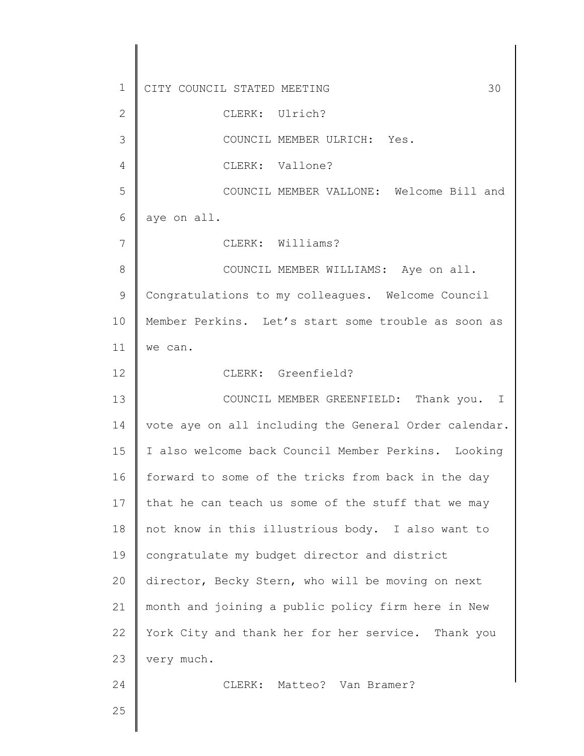1 2 3 4 5 6 7 8 9 10 11 12 13 14 15 16 17 18 19 20 21 22 23 24 25 CITY COUNCIL STATED MEETING 30 CLERK: Ulrich? COUNCIL MEMBER ULRICH: Yes. CLERK: Vallone? COUNCIL MEMBER VALLONE: Welcome Bill and aye on all. CLERK: Williams? COUNCIL MEMBER WILLIAMS: Aye on all. Congratulations to my colleagues. Welcome Council Member Perkins. Let's start some trouble as soon as we can. CLERK: Greenfield? COUNCIL MEMBER GREENFIELD: Thank you. I vote aye on all including the General Order calendar. I also welcome back Council Member Perkins. Looking forward to some of the tricks from back in the day that he can teach us some of the stuff that we may not know in this illustrious body. I also want to congratulate my budget director and district director, Becky Stern, who will be moving on next month and joining a public policy firm here in New York City and thank her for her service. Thank you very much. CLERK: Matteo? Van Bramer?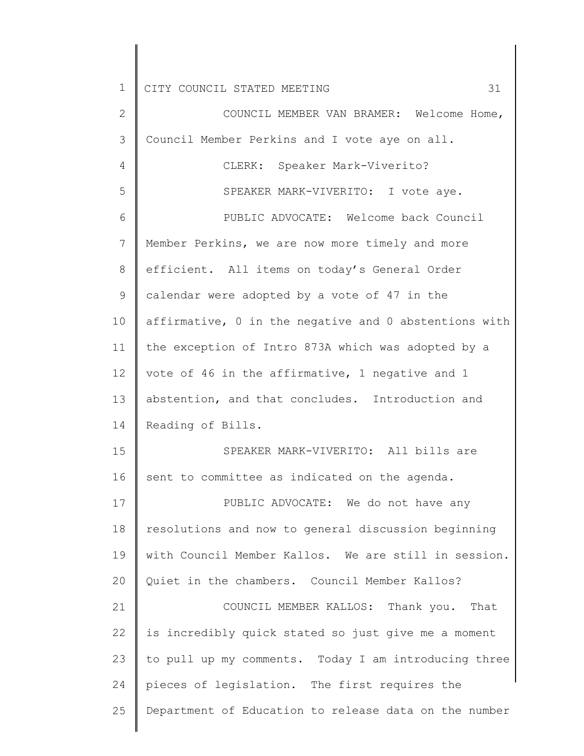| $\mathbf{2}$   | COUNCIL MEMBER VAN BRAMER: Welcome Home,              |
|----------------|-------------------------------------------------------|
| $\mathcal{S}$  | Council Member Perkins and I vote aye on all.         |
| $\overline{4}$ | CLERK: Speaker Mark-Viverito?                         |
| 5              | SPEAKER MARK-VIVERITO: I vote aye.                    |
| $\sqrt{6}$     | PUBLIC ADVOCATE: Welcome back Council                 |
| 7              | Member Perkins, we are now more timely and more       |
| 8              | efficient. All items on today's General Order         |
| 9              | calendar were adopted by a vote of 47 in the          |
| 10             | affirmative, 0 in the negative and 0 abstentions with |
| 11             | the exception of Intro 873A which was adopted by a    |
| 12             | vote of 46 in the affirmative, 1 negative and 1       |
| 13             | abstention, and that concludes. Introduction and      |
| 14             | Reading of Bills.                                     |
| 15             | SPEAKER MARK-VIVERITO: All bills are                  |
| 16             | sent to committee as indicated on the agenda.         |
| 17             | PUBLIC ADVOCATE: We do not have any                   |
| 18             | resolutions and now to general discussion beginning   |
| 19             | with Council Member Kallos. We are still in session.  |
| 20             | Quiet in the chambers. Council Member Kallos?         |
| 21             | COUNCIL MEMBER KALLOS: Thank you. That                |
| 22             | is incredibly quick stated so just give me a moment   |
| 23             | to pull up my comments. Today I am introducing three  |
| 24             | pieces of legislation. The first requires the         |
| 25             | Department of Education to release data on the number |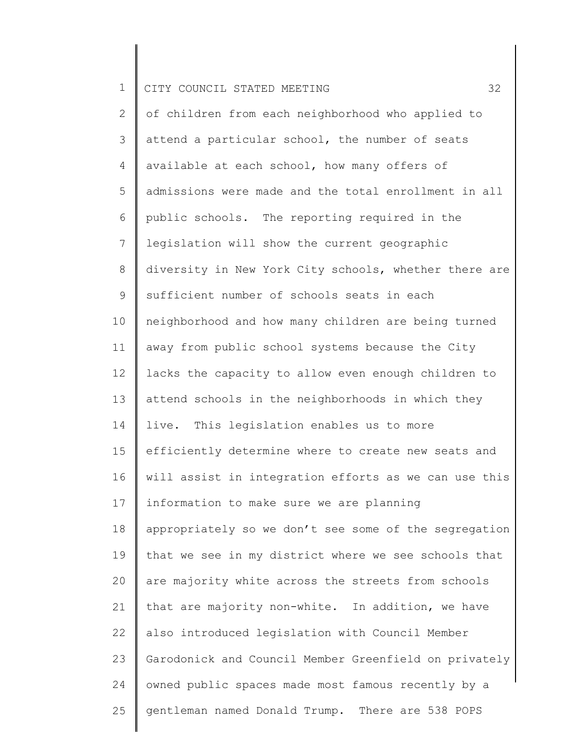|  |  | 1    CITY COUNCIL STATED MEETING |  |  |  |  |  |
|--|--|----------------------------------|--|--|--|--|--|
|--|--|----------------------------------|--|--|--|--|--|

2 3 4 5 6 7 8 9 10 11 12 13 14 15 16 17 18 19 20 21 22 23 24 25 of children from each neighborhood who applied to attend a particular school, the number of seats available at each school, how many offers of admissions were made and the total enrollment in all public schools. The reporting required in the legislation will show the current geographic diversity in New York City schools, whether there are sufficient number of schools seats in each neighborhood and how many children are being turned away from public school systems because the City lacks the capacity to allow even enough children to attend schools in the neighborhoods in which they live. This legislation enables us to more efficiently determine where to create new seats and will assist in integration efforts as we can use this information to make sure we are planning appropriately so we don't see some of the segregation that we see in my district where we see schools that are majority white across the streets from schools that are majority non-white. In addition, we have also introduced legislation with Council Member Garodonick and Council Member Greenfield on privately owned public spaces made most famous recently by a gentleman named Donald Trump. There are 538 POPS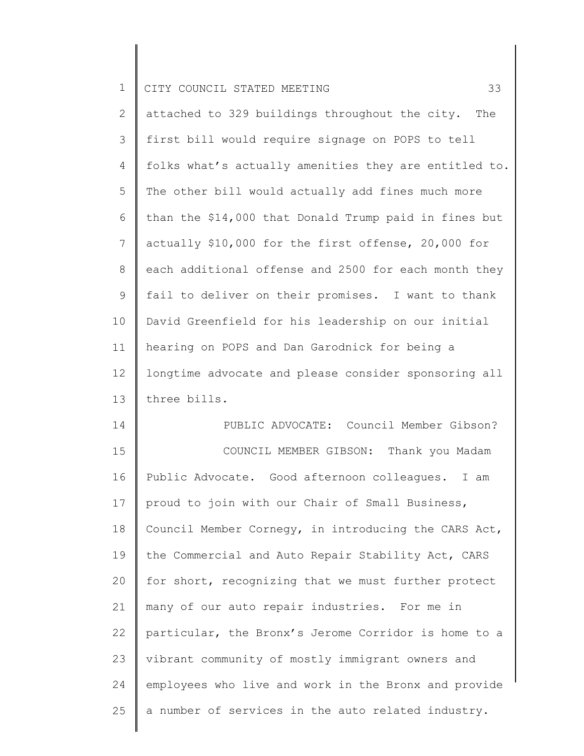| ∸ |  |  |  | I CITY COUNCIL STATED MEETING |  |  |
|---|--|--|--|-------------------------------|--|--|
|---|--|--|--|-------------------------------|--|--|

2 3 4 5 6 7 8 9 10 11 12 13 attached to 329 buildings throughout the city. The first bill would require signage on POPS to tell folks what's actually amenities they are entitled to. The other bill would actually add fines much more than the \$14,000 that Donald Trump paid in fines but actually \$10,000 for the first offense, 20,000 for each additional offense and 2500 for each month they fail to deliver on their promises. I want to thank David Greenfield for his leadership on our initial hearing on POPS and Dan Garodnick for being a longtime advocate and please consider sponsoring all three bills.

14 15 16 17 18 19 20 21 22 23 24 25 PUBLIC ADVOCATE: Council Member Gibson? COUNCIL MEMBER GIBSON: Thank you Madam Public Advocate. Good afternoon colleagues. I am proud to join with our Chair of Small Business, Council Member Cornegy, in introducing the CARS Act, the Commercial and Auto Repair Stability Act, CARS for short, recognizing that we must further protect many of our auto repair industries. For me in particular, the Bronx's Jerome Corridor is home to a vibrant community of mostly immigrant owners and employees who live and work in the Bronx and provide a number of services in the auto related industry.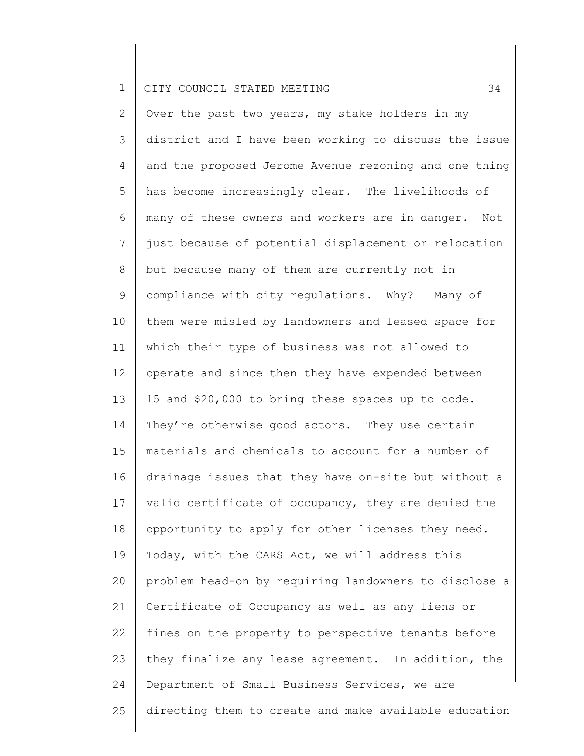2 3 4 5 6 7 8 9 10 11 12 13 14 15 16 17 18 19 20 21 22 23 24 25 Over the past two years, my stake holders in my district and I have been working to discuss the issue and the proposed Jerome Avenue rezoning and one thing has become increasingly clear. The livelihoods of many of these owners and workers are in danger. Not just because of potential displacement or relocation but because many of them are currently not in compliance with city regulations. Why? Many of them were misled by landowners and leased space for which their type of business was not allowed to operate and since then they have expended between 15 and \$20,000 to bring these spaces up to code. They're otherwise good actors. They use certain materials and chemicals to account for a number of drainage issues that they have on-site but without a valid certificate of occupancy, they are denied the opportunity to apply for other licenses they need. Today, with the CARS Act, we will address this problem head-on by requiring landowners to disclose a Certificate of Occupancy as well as any liens or fines on the property to perspective tenants before they finalize any lease agreement. In addition, the Department of Small Business Services, we are directing them to create and make available education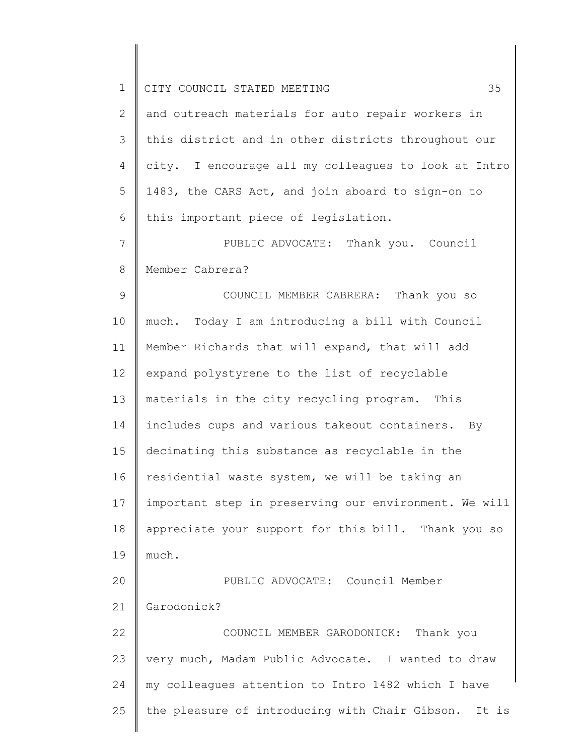| $\mathbf 1$ | 35<br>CITY COUNCIL STATED MEETING                     |
|-------------|-------------------------------------------------------|
| 2           | and outreach materials for auto repair workers in     |
| 3           | this district and in other districts throughout our   |
| 4           | city. I encourage all my colleagues to look at Intro  |
| 5           | 1483, the CARS Act, and join aboard to sign-on to     |
| 6           | this important piece of legislation.                  |
| 7           | PUBLIC ADVOCATE: Thank you. Council                   |
| 8           | Member Cabrera?                                       |
| 9           | COUNCIL MEMBER CABRERA: Thank you so                  |
| 10          | much. Today I am introducing a bill with Council      |
| 11          | Member Richards that will expand, that will add       |
| 12          | expand polystyrene to the list of recyclable          |
| 13          | materials in the city recycling program. This         |
| 14          | includes cups and various takeout containers. By      |
| 15          | decimating this substance as recyclable in the        |
| 16          | residential waste system, we will be taking an        |
| 17          | important step in preserving our environment. We will |
| 18          | appreciate your support for this bill. Thank you so   |
| 19          | much.                                                 |
| 20          | PUBLIC ADVOCATE: Council Member                       |
| 21          | Garodonick?                                           |
| 22          | COUNCIL MEMBER GARODONICK: Thank you                  |
| 23          | very much, Madam Public Advocate. I wanted to draw    |
| 24          | my colleagues attention to Intro 1482 which I have    |
| 25          | the pleasure of introducing with Chair Gibson. It is  |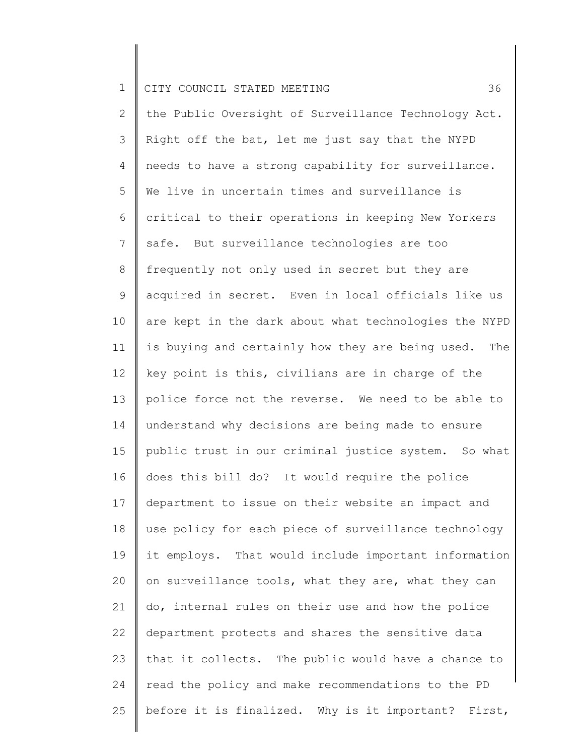2 3 4 5 6 7 8 9 10 11 12 13 14 15 16 17 18 19 20 21 22 23 24 25 the Public Oversight of Surveillance Technology Act. Right off the bat, let me just say that the NYPD needs to have a strong capability for surveillance. We live in uncertain times and surveillance is critical to their operations in keeping New Yorkers safe. But surveillance technologies are too frequently not only used in secret but they are acquired in secret. Even in local officials like us are kept in the dark about what technologies the NYPD is buying and certainly how they are being used. The key point is this, civilians are in charge of the police force not the reverse. We need to be able to understand why decisions are being made to ensure public trust in our criminal justice system. So what does this bill do? It would require the police department to issue on their website an impact and use policy for each piece of surveillance technology it employs. That would include important information on surveillance tools, what they are, what they can do, internal rules on their use and how the police department protects and shares the sensitive data that it collects. The public would have a chance to read the policy and make recommendations to the PD before it is finalized. Why is it important? First,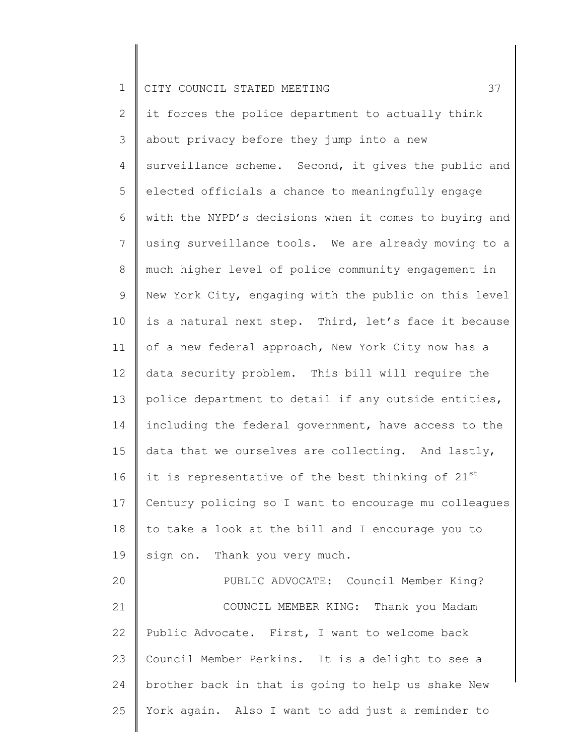25

2 3 4 5 6 7 8 9 10 11 12 13 14 15 16 17 18 19 20 21 22 23 24 it forces the police department to actually think about privacy before they jump into a new surveillance scheme. Second, it gives the public and elected officials a chance to meaningfully engage with the NYPD's decisions when it comes to buying and using surveillance tools. We are already moving to a much higher level of police community engagement in New York City, engaging with the public on this level is a natural next step. Third, let's face it because of a new federal approach, New York City now has a data security problem. This bill will require the police department to detail if any outside entities, including the federal government, have access to the data that we ourselves are collecting. And lastly, it is representative of the best thinking of  $21^{st}$ Century policing so I want to encourage mu colleagues to take a look at the bill and I encourage you to sign on. Thank you very much. PUBLIC ADVOCATE: Council Member King? COUNCIL MEMBER KING: Thank you Madam Public Advocate. First, I want to welcome back Council Member Perkins. It is a delight to see a brother back in that is going to help us shake New

York again. Also I want to add just a reminder to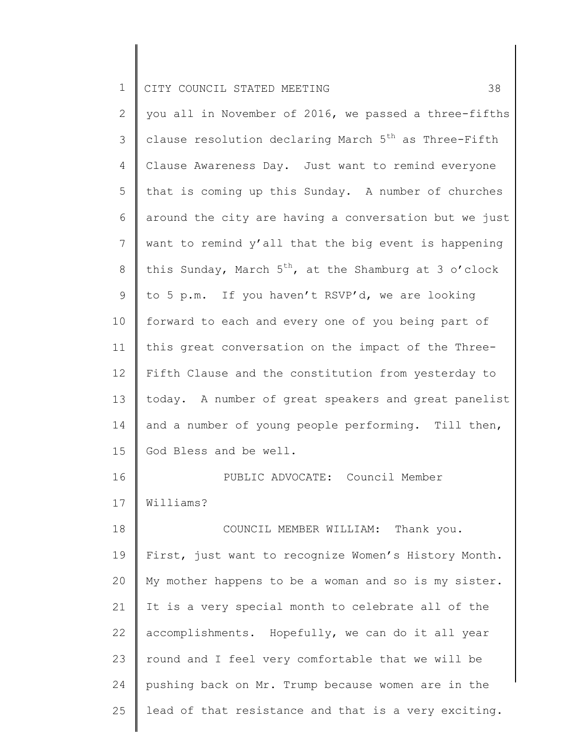2 3 4 5 6 7 8 9 10 11 12 13 14 15 16 17 18 19 20 21 22 23 24 25 you all in November of 2016, we passed a three-fifths clause resolution declaring March  $5<sup>th</sup>$  as Three-Fifth Clause Awareness Day. Just want to remind everyone that is coming up this Sunday. A number of churches around the city are having a conversation but we just want to remind y'all that the big event is happening this Sunday, March  $5^{th}$ , at the Shamburg at 3 o'clock to 5 p.m. If you haven't RSVP'd, we are looking forward to each and every one of you being part of this great conversation on the impact of the Three-Fifth Clause and the constitution from yesterday to today. A number of great speakers and great panelist and a number of young people performing. Till then, God Bless and be well. PUBLIC ADVOCATE: Council Member Williams? COUNCIL MEMBER WILLIAM: Thank you. First, just want to recognize Women's History Month. My mother happens to be a woman and so is my sister. It is a very special month to celebrate all of the accomplishments. Hopefully, we can do it all year round and I feel very comfortable that we will be pushing back on Mr. Trump because women are in the lead of that resistance and that is a very exciting.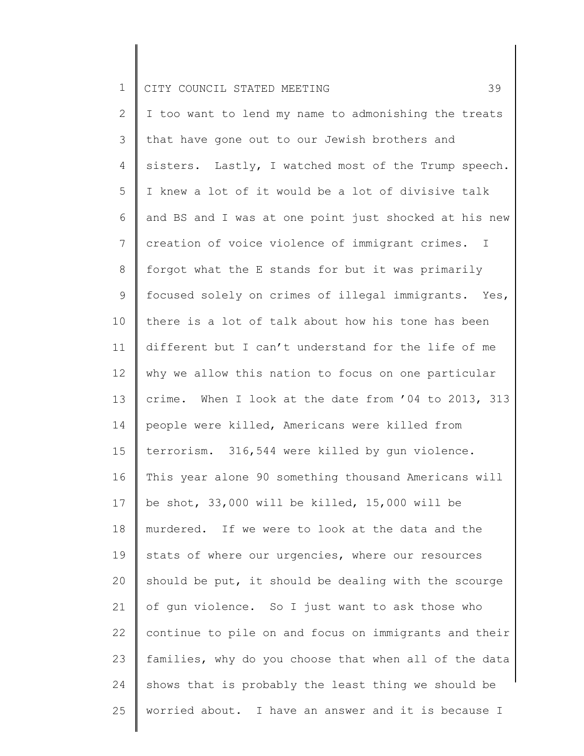2 3 4 5 6 7 8 9 10 11 12 13 14 15 16 17 18 19 20 21 22 23 24 25 I too want to lend my name to admonishing the treats that have gone out to our Jewish brothers and sisters. Lastly, I watched most of the Trump speech. I knew a lot of it would be a lot of divisive talk and BS and I was at one point just shocked at his new creation of voice violence of immigrant crimes. I forgot what the E stands for but it was primarily focused solely on crimes of illegal immigrants. Yes, there is a lot of talk about how his tone has been different but I can't understand for the life of me why we allow this nation to focus on one particular crime. When I look at the date from '04 to 2013, 313 people were killed, Americans were killed from terrorism. 316,544 were killed by gun violence. This year alone 90 something thousand Americans will be shot, 33,000 will be killed, 15,000 will be murdered. If we were to look at the data and the stats of where our urgencies, where our resources should be put, it should be dealing with the scourge of gun violence. So I just want to ask those who continue to pile on and focus on immigrants and their families, why do you choose that when all of the data shows that is probably the least thing we should be worried about. I have an answer and it is because I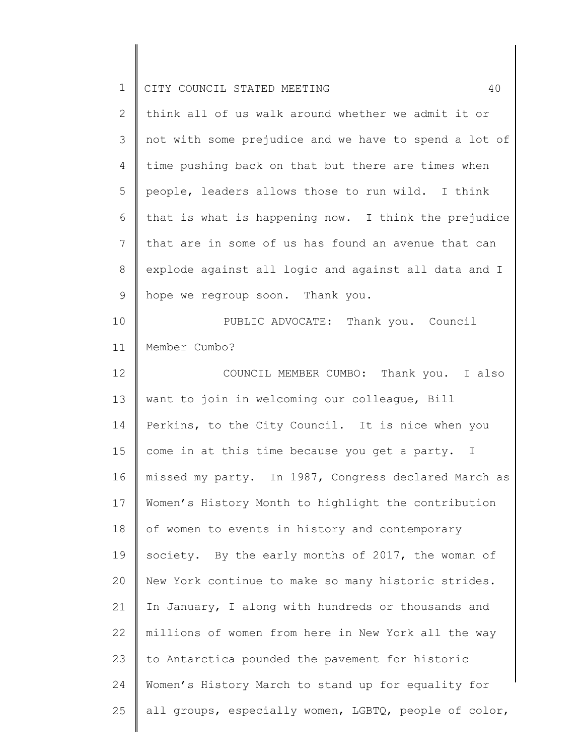| $\mathbf 1$    | 40<br>CITY COUNCIL STATED MEETING                     |
|----------------|-------------------------------------------------------|
| $\mathbf{2}$   | think all of us walk around whether we admit it or    |
| 3              | not with some prejudice and we have to spend a lot of |
| 4              | time pushing back on that but there are times when    |
| 5              | people, leaders allows those to run wild. I think     |
| 6              | that is what is happening now. I think the prejudice  |
| $7\phantom{.}$ | that are in some of us has found an avenue that can   |
| $8\,$          | explode against all logic and against all data and I  |
| 9              | hope we regroup soon. Thank you.                      |
| 10             | PUBLIC ADVOCATE: Thank you. Council                   |
| 11             | Member Cumbo?                                         |
| 12             | COUNCIL MEMBER CUMBO: Thank you. I also               |
| 13             | want to join in welcoming our colleague, Bill         |
| 14             | Perkins, to the City Council. It is nice when you     |
| 15             | come in at this time because you get a party. I       |
| 16             | missed my party. In 1987, Congress declared March as  |
| 17             | Women's History Month to highlight the contribution   |
| 18             | of women to events in history and contemporary        |
| 19             | society. By the early months of 2017, the woman of    |
| 20             | New York continue to make so many historic strides.   |
| 21             | In January, I along with hundreds or thousands and    |
| 22             | millions of women from here in New York all the way   |
| 23             | to Antarctica pounded the pavement for historic       |
| 24             | Women's History March to stand up for equality for    |
| 25             | all groups, especially women, LGBTQ, people of color, |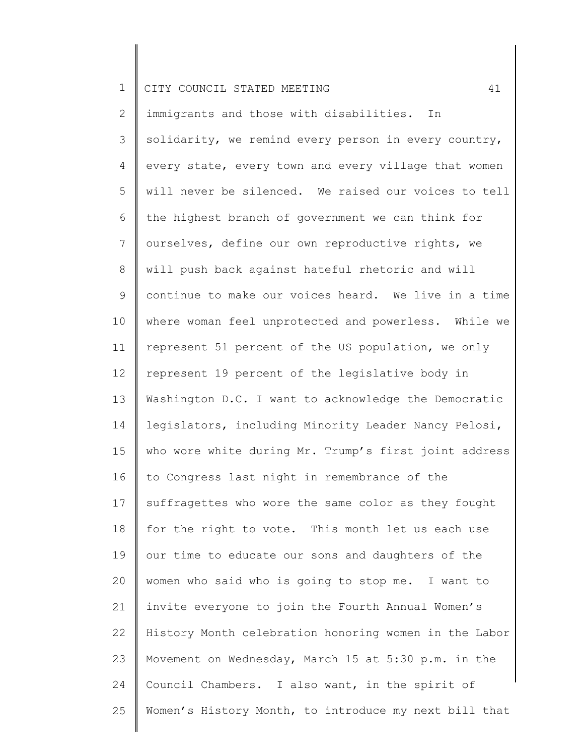|  |  | CITY COUNCIL STATED MEETING |  |  |  |  |
|--|--|-----------------------------|--|--|--|--|
|--|--|-----------------------------|--|--|--|--|

2 3 4 5 6 7 8 9 10 11 12 13 14 15 16 17 18 19 20 21 22 23 24 25 immigrants and those with disabilities. In solidarity, we remind every person in every country, every state, every town and every village that women will never be silenced. We raised our voices to tell the highest branch of government we can think for ourselves, define our own reproductive rights, we will push back against hateful rhetoric and will continue to make our voices heard. We live in a time where woman feel unprotected and powerless. While we represent 51 percent of the US population, we only represent 19 percent of the legislative body in Washington D.C. I want to acknowledge the Democratic legislators, including Minority Leader Nancy Pelosi, who wore white during Mr. Trump's first joint address to Congress last night in remembrance of the suffragettes who wore the same color as they fought for the right to vote. This month let us each use our time to educate our sons and daughters of the women who said who is going to stop me. I want to invite everyone to join the Fourth Annual Women's History Month celebration honoring women in the Labor Movement on Wednesday, March 15 at 5:30 p.m. in the Council Chambers. I also want, in the spirit of Women's History Month, to introduce my next bill that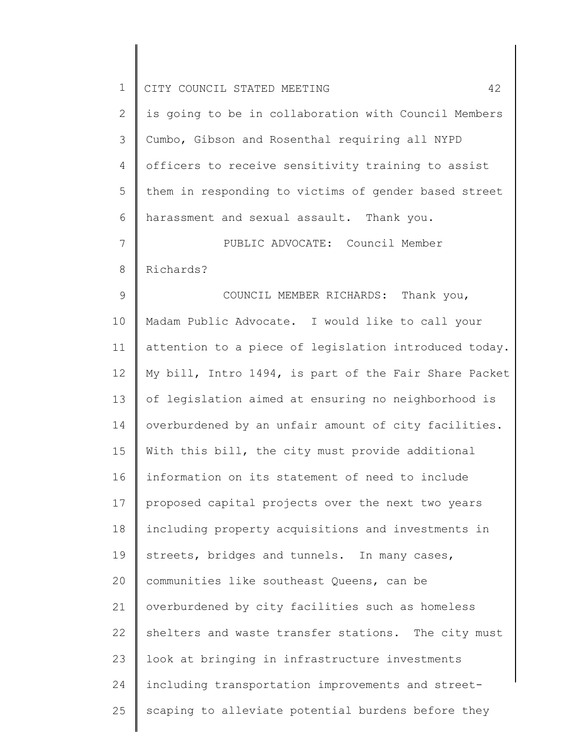| $\mathbf 1$  | CITY COUNCIL STATED MEETING<br>42                     |
|--------------|-------------------------------------------------------|
| $\mathbf{2}$ | is going to be in collaboration with Council Members  |
| 3            | Cumbo, Gibson and Rosenthal requiring all NYPD        |
| 4            | officers to receive sensitivity training to assist    |
| 5            | them in responding to victims of gender based street  |
| 6            | harassment and sexual assault. Thank you.             |
| 7            | PUBLIC ADVOCATE: Council Member                       |
| 8            | Richards?                                             |
| $\mathsf 9$  | COUNCIL MEMBER RICHARDS: Thank you,                   |
| 10           | Madam Public Advocate. I would like to call your      |
| 11           | attention to a piece of legislation introduced today. |
| 12           | My bill, Intro 1494, is part of the Fair Share Packet |
| 13           | of legislation aimed at ensuring no neighborhood is   |
| 14           | overburdened by an unfair amount of city facilities.  |
| 15           | With this bill, the city must provide additional      |
| 16           | information on its statement of need to include       |
| 17           | proposed capital projects over the next two years     |
| 18           | including property acquisitions and investments in    |
| 19           | streets, bridges and tunnels. In many cases,          |
| 20           | communities like southeast Queens, can be             |
| 21           | overburdened by city facilities such as homeless      |
| 22           | shelters and waste transfer stations. The city must   |
| 23           | look at bringing in infrastructure investments        |
| 24           | including transportation improvements and street-     |
| 25           | scaping to alleviate potential burdens before they    |
|              |                                                       |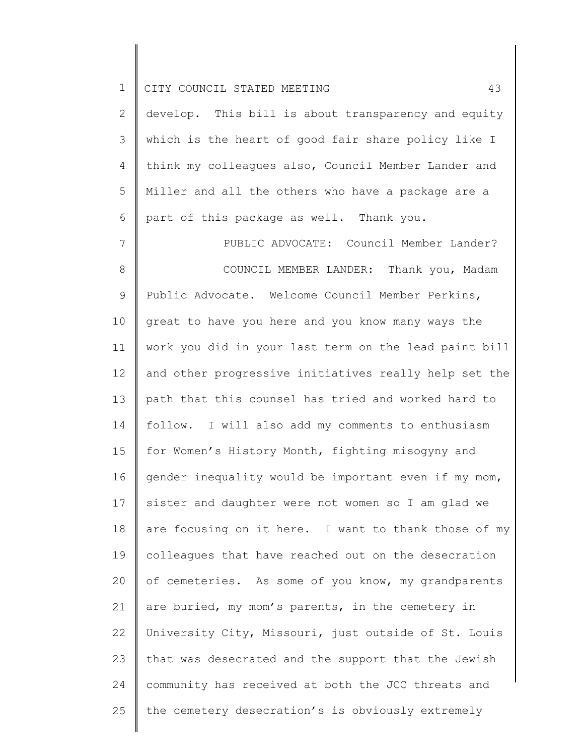|  |  | .    CITY COUNCIL STATED MEETING |  |  |  |  |
|--|--|----------------------------------|--|--|--|--|
|--|--|----------------------------------|--|--|--|--|

| 2 $\parallel$ develop. This bill is about transparency and equity   |
|---------------------------------------------------------------------|
| $3$ $\parallel$ which is the heart of good fair share policy like I |
| 4 think my colleagues also, Council Member Lander and               |
| $5$ $\parallel$ Miller and all the others who have a package are a  |
| 6   part of this package as well. Thank you.                        |

7 8 9 10 11 12 13 14 15 16 17 18 19 20 21 22 23 24 25 PUBLIC ADVOCATE: Council Member Lander? COUNCIL MEMBER LANDER: Thank you, Madam Public Advocate. Welcome Council Member Perkins, great to have you here and you know many ways the work you did in your last term on the lead paint bill and other progressive initiatives really help set the path that this counsel has tried and worked hard to follow. I will also add my comments to enthusiasm for Women's History Month, fighting misogyny and gender inequality would be important even if my mom, sister and daughter were not women so I am glad we are focusing on it here. I want to thank those of my colleagues that have reached out on the desecration of cemeteries. As some of you know, my grandparents are buried, my mom's parents, in the cemetery in University City, Missouri, just outside of St. Louis that was desecrated and the support that the Jewish community has received at both the JCC threats and the cemetery desecration's is obviously extremely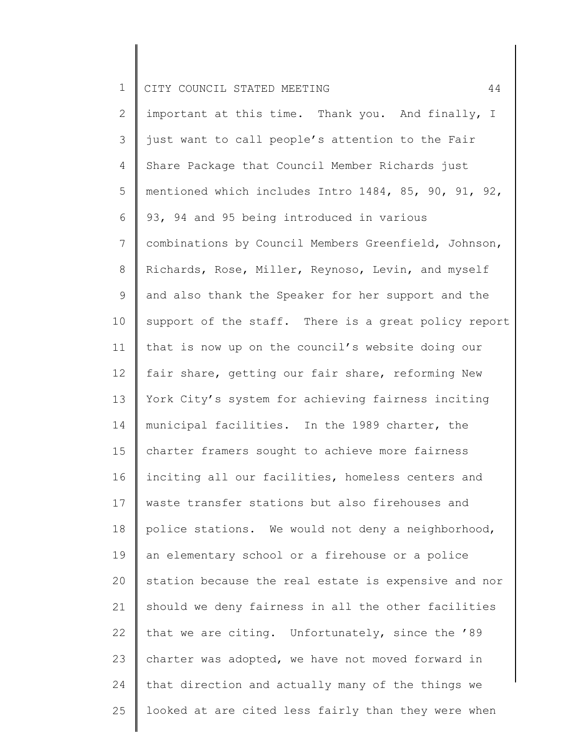2 3 4 5 6 7 8 9 10 11 12 13 14 15 16 17 18 19 20 21 22 23 24 25 important at this time. Thank you. And finally, I just want to call people's attention to the Fair Share Package that Council Member Richards just mentioned which includes Intro 1484, 85, 90, 91, 92, 93, 94 and 95 being introduced in various combinations by Council Members Greenfield, Johnson, Richards, Rose, Miller, Reynoso, Levin, and myself and also thank the Speaker for her support and the support of the staff. There is a great policy report that is now up on the council's website doing our fair share, getting our fair share, reforming New York City's system for achieving fairness inciting municipal facilities. In the 1989 charter, the charter framers sought to achieve more fairness inciting all our facilities, homeless centers and waste transfer stations but also firehouses and police stations. We would not deny a neighborhood, an elementary school or a firehouse or a police station because the real estate is expensive and nor should we deny fairness in all the other facilities that we are citing. Unfortunately, since the '89 charter was adopted, we have not moved forward in that direction and actually many of the things we looked at are cited less fairly than they were when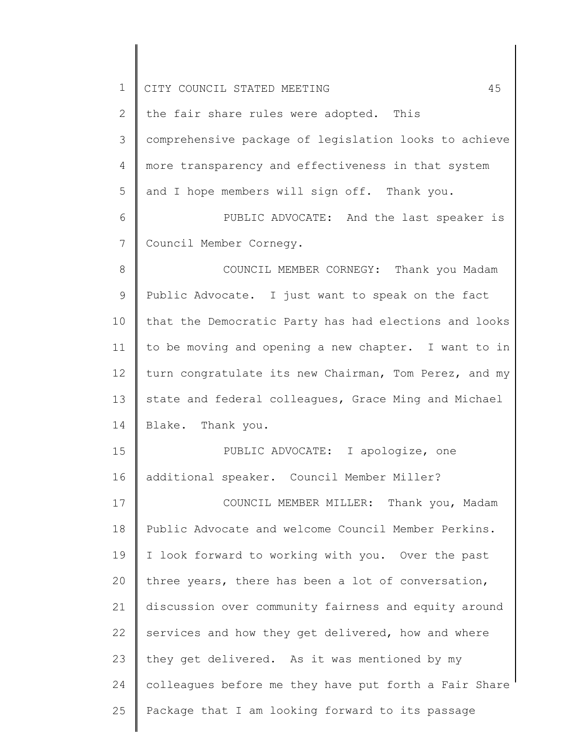| $\mathbf 1$ | 45<br>CITY COUNCIL STATED MEETING                     |
|-------------|-------------------------------------------------------|
| 2           | the fair share rules were adopted. This               |
| 3           | comprehensive package of legislation looks to achieve |
| 4           | more transparency and effectiveness in that system    |
| 5           | and I hope members will sign off. Thank you.          |
| 6           | PUBLIC ADVOCATE: And the last speaker is              |
| 7           | Council Member Cornegy.                               |
| 8           | COUNCIL MEMBER CORNEGY: Thank you Madam               |
| 9           | Public Advocate. I just want to speak on the fact     |
| 10          | that the Democratic Party has had elections and looks |
| 11          | to be moving and opening a new chapter. I want to in  |
| 12          | turn congratulate its new Chairman, Tom Perez, and my |
| 13          | state and federal colleagues, Grace Ming and Michael  |
| 14          | Blake. Thank you.                                     |
| 15          | PUBLIC ADVOCATE: I apologize, one                     |
| 16          | additional speaker. Council Member Miller?            |
| 17          | COUNCIL MEMBER MILLER: Thank you, Madam               |
| 18          | Public Advocate and welcome Council Member Perkins.   |
| 19          | I look forward to working with you. Over the past     |
| 20          | three years, there has been a lot of conversation,    |
| 21          | discussion over community fairness and equity around  |
| 22          | services and how they get delivered, how and where    |
| 23          | they get delivered. As it was mentioned by my         |
| 24          | colleagues before me they have put forth a Fair Share |
| 25          | Package that I am looking forward to its passage      |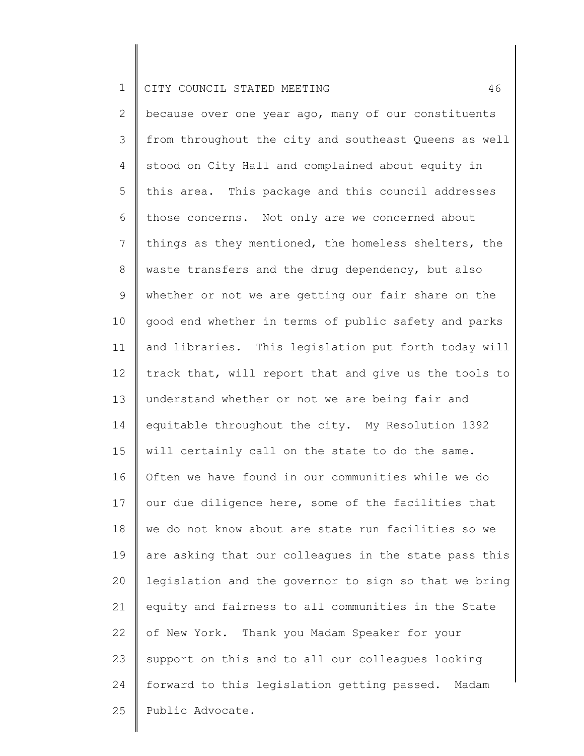2 3 4 5 6 7 8 9 10 11 12 13 14 15 16 17 18 19 20 21 22 23 24 25 because over one year ago, many of our constituents from throughout the city and southeast Queens as well stood on City Hall and complained about equity in this area. This package and this council addresses those concerns. Not only are we concerned about things as they mentioned, the homeless shelters, the waste transfers and the drug dependency, but also whether or not we are getting our fair share on the good end whether in terms of public safety and parks and libraries. This legislation put forth today will track that, will report that and give us the tools to understand whether or not we are being fair and equitable throughout the city. My Resolution 1392 will certainly call on the state to do the same. Often we have found in our communities while we do our due diligence here, some of the facilities that we do not know about are state run facilities so we are asking that our colleagues in the state pass this legislation and the governor to sign so that we bring equity and fairness to all communities in the State of New York. Thank you Madam Speaker for your support on this and to all our colleagues looking forward to this legislation getting passed. Madam Public Advocate.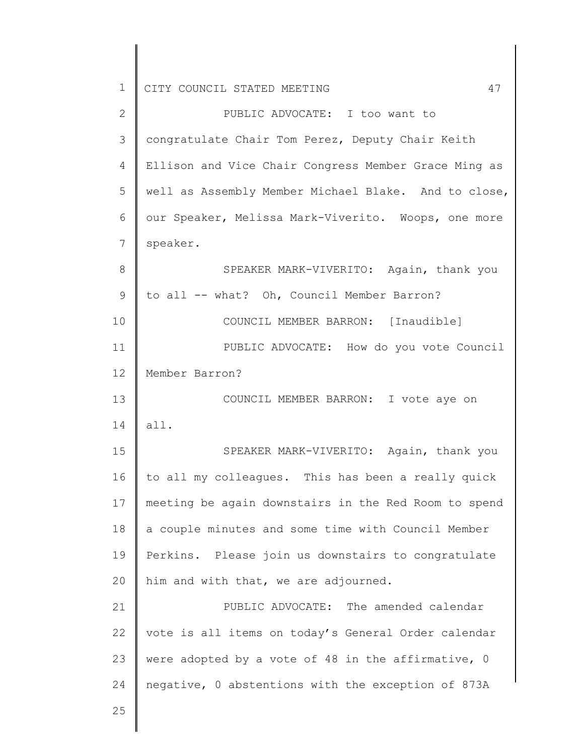2 3 4 5 6 7 8 9 10 11 12 13 14 15 16 17 18 19 20 21 22 23 24 25 PUBLIC ADVOCATE: I too want to congratulate Chair Tom Perez, Deputy Chair Keith Ellison and Vice Chair Congress Member Grace Ming as well as Assembly Member Michael Blake. And to close, our Speaker, Melissa Mark-Viverito. Woops, one more speaker. SPEAKER MARK-VIVERITO: Again, thank you to all -- what? Oh, Council Member Barron? COUNCIL MEMBER BARRON: [Inaudible] PUBLIC ADVOCATE: How do you vote Council Member Barron? COUNCIL MEMBER BARRON: I vote aye on all. SPEAKER MARK-VIVERITO: Again, thank you to all my colleagues. This has been a really quick meeting be again downstairs in the Red Room to spend a couple minutes and some time with Council Member Perkins. Please join us downstairs to congratulate him and with that, we are adjourned. PUBLIC ADVOCATE: The amended calendar vote is all items on today's General Order calendar were adopted by a vote of 48 in the affirmative, 0 negative, 0 abstentions with the exception of 873A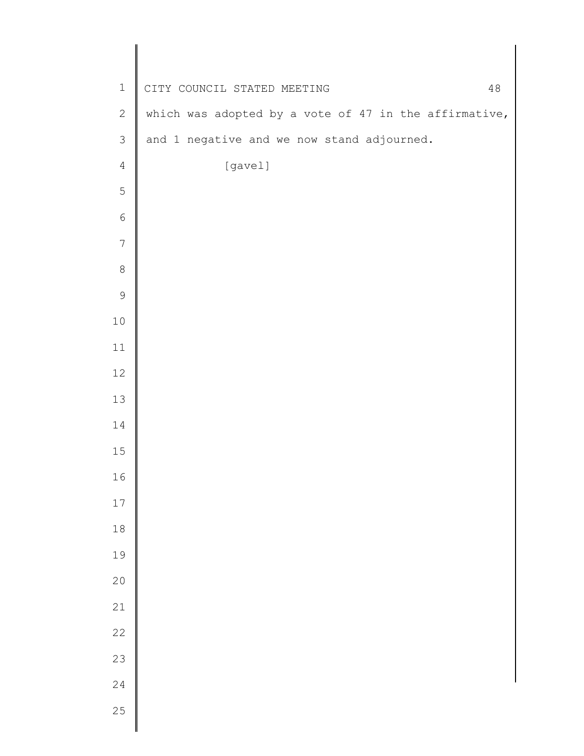| $\mathbf 1$    | CITY COUNCIL STATED MEETING<br>48                     |
|----------------|-------------------------------------------------------|
| $\mathbf{2}$   | which was adopted by a vote of 47 in the affirmative, |
| $\mathfrak{Z}$ | and 1 negative and we now stand adjourned.            |
| $\sqrt{4}$     | [gavel]                                               |
| 5              |                                                       |
| $\epsilon$     |                                                       |
| $\overline{7}$ |                                                       |
| $\,8\,$        |                                                       |
| $\mathsf 9$    |                                                       |
| $10\,$         |                                                       |
| 11             |                                                       |
| 12             |                                                       |
| 13             |                                                       |
| 14             |                                                       |
| $15$           |                                                       |
| 16             |                                                       |
| $17\,$         |                                                       |
| $1\,8$         |                                                       |
| 19             |                                                       |
| $2\,0$         |                                                       |
| 21             |                                                       |
| $2\sqrt{2}$    |                                                       |
| 23             |                                                       |
| 24             |                                                       |
| 25             |                                                       |